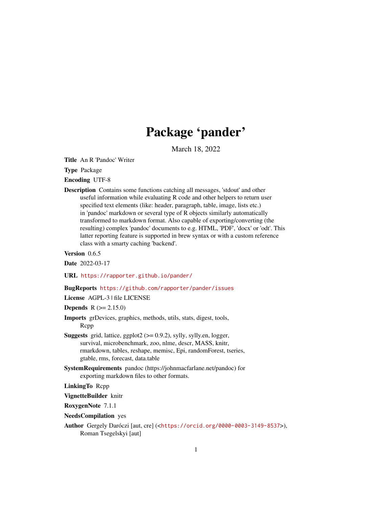# Package 'pander'

March 18, 2022

<span id="page-0-0"></span>Title An R 'Pandoc' Writer

Type Package

Encoding UTF-8

Description Contains some functions catching all messages, 'stdout' and other useful information while evaluating R code and other helpers to return user specified text elements (like: header, paragraph, table, image, lists etc.) in 'pandoc' markdown or several type of R objects similarly automatically transformed to markdown format. Also capable of exporting/converting (the resulting) complex 'pandoc' documents to e.g. HTML, 'PDF', 'docx' or 'odt'. This latter reporting feature is supported in brew syntax or with a custom reference class with a smarty caching 'backend'.

Version 0.6.5

Date 2022-03-17

URL <https://rapporter.github.io/pander/>

#### BugReports <https://github.com/rapporter/pander/issues>

License AGPL-3 | file LICENSE

**Depends**  $R (= 2.15.0)$ 

- Imports grDevices, graphics, methods, utils, stats, digest, tools, Rcpp
- **Suggests** grid, lattice, ggplot2  $(>= 0.9.2)$ , sylly, sylly.en, logger, survival, microbenchmark, zoo, nlme, descr, MASS, knitr, rmarkdown, tables, reshape, memisc, Epi, randomForest, tseries, gtable, rms, forecast, data.table
- SystemRequirements pandoc (https://johnmacfarlane.net/pandoc) for exporting markdown files to other formats.

LinkingTo Rcpp

VignetteBuilder knitr

RoxygenNote 7.1.1

- NeedsCompilation yes
- Author Gergely Daróczi [aut, cre] (<<https://orcid.org/0000-0003-3149-8537>>), Roman Tsegelskyi [aut]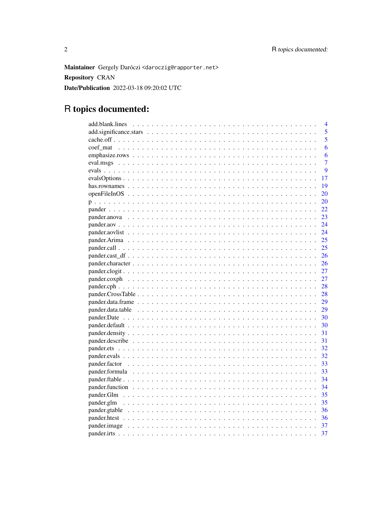Maintainer Gergely Daróczi <daroczig@rapporter.net> **Repository CRAN** Date/Publication 2022-03-18 09:20:02 UTC

# R topics documented:

| 4              |
|----------------|
| 5              |
| 5              |
| 6              |
| 6              |
| $\overline{7}$ |
| 9              |
| 17             |
| 19             |
| 20             |
| 20             |
| 22             |
| 23             |
| 24             |
| 24             |
| 25             |
| 25             |
| 26             |
| 26             |
| 27             |
| 27             |
| 28             |
| 28             |
| 29             |
| 29             |
| 30             |
| 30             |
| 31             |
| 31             |
| 32             |
| 32             |
| 33             |
| 33             |
| 34             |
| 34             |
| 35             |
| 35             |
| 36             |
| 36             |
| 37             |
| 37             |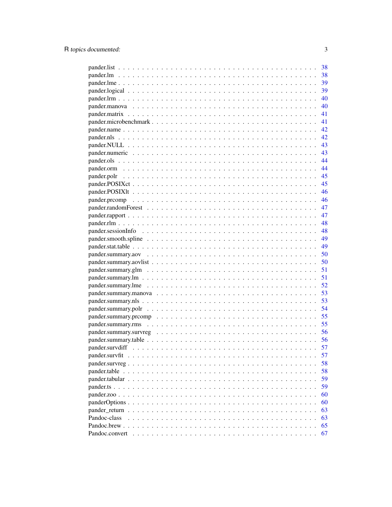|                                                                                                              | 38   |
|--------------------------------------------------------------------------------------------------------------|------|
|                                                                                                              | 38   |
|                                                                                                              | 39   |
|                                                                                                              |      |
|                                                                                                              | 40   |
|                                                                                                              | 40   |
|                                                                                                              | 41   |
|                                                                                                              | 41   |
|                                                                                                              | - 42 |
|                                                                                                              | - 42 |
|                                                                                                              | - 43 |
|                                                                                                              | 43   |
|                                                                                                              | 44   |
|                                                                                                              | 44   |
|                                                                                                              | 45   |
|                                                                                                              | 45   |
|                                                                                                              | 46   |
|                                                                                                              | 46   |
|                                                                                                              | 47   |
|                                                                                                              | 47   |
|                                                                                                              | 48   |
|                                                                                                              |      |
|                                                                                                              |      |
|                                                                                                              |      |
|                                                                                                              | 50   |
|                                                                                                              | 50   |
|                                                                                                              | 51   |
|                                                                                                              | 51   |
|                                                                                                              | 52   |
|                                                                                                              | 53   |
|                                                                                                              |      |
|                                                                                                              |      |
|                                                                                                              |      |
|                                                                                                              |      |
| pander.summary.survreg $\ldots \ldots \ldots \ldots \ldots \ldots \ldots \ldots \ldots \ldots \ldots \ldots$ | - 56 |
|                                                                                                              | 56   |
|                                                                                                              | 57   |
|                                                                                                              | 57   |
|                                                                                                              | 58   |
|                                                                                                              | 58   |
|                                                                                                              | 59   |
|                                                                                                              | 59   |
|                                                                                                              | 60   |
|                                                                                                              | 60   |
|                                                                                                              | 63   |
| Pandoc-class                                                                                                 | 63   |
| Pandoc.brew                                                                                                  | 65   |
| Pandoc.convert                                                                                               | 67   |
|                                                                                                              |      |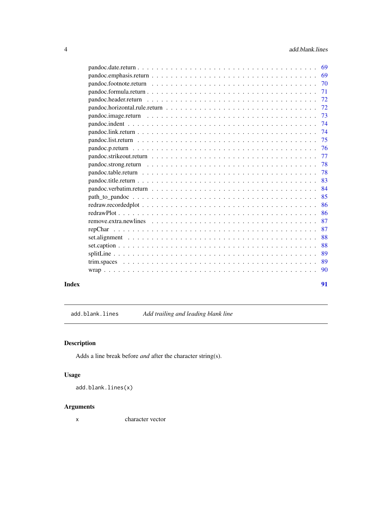<span id="page-3-0"></span>

|       | 69 |
|-------|----|
|       | 69 |
|       | 70 |
|       | 71 |
|       | 72 |
|       | 72 |
|       | 73 |
|       | 74 |
|       | 74 |
|       | 75 |
|       | 76 |
|       | 77 |
|       | 78 |
|       | 78 |
|       | 83 |
|       | 84 |
|       | 85 |
|       | 86 |
|       | 86 |
|       | 87 |
|       | 87 |
|       | 88 |
|       | 88 |
|       | 89 |
|       | 89 |
|       | 90 |
| Index | 91 |

add.blank.lines *Add trailing and leading blank line*

# Description

Adds a line break before *and* after the character string(s).

# Usage

add.blank.lines(x)

# Arguments

x character vector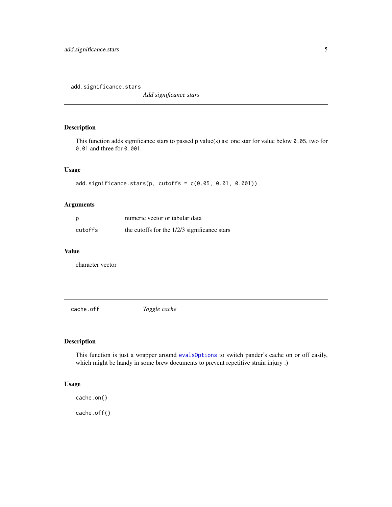<span id="page-4-0"></span>add.significance.stars

*Add significance stars*

# Description

This function adds significance stars to passed p value(s) as: one star for value below 0.05, two for 0.01 and three for 0.001.

#### Usage

add.significance.stars(p, cutoffs = c(0.05, 0.01, 0.001))

#### Arguments

| p       | numeric vector or tabular data                 |
|---------|------------------------------------------------|
| cutoffs | the cutoffs for the $1/2/3$ significance stars |

#### Value

character vector

cache.off *Toggle cache*

# Description

This function is just a wrapper around [evalsOptions](#page-16-1) to switch pander's cache on or off easily, which might be handy in some brew documents to prevent repetitive strain injury :)

#### Usage

cache.on() cache.off()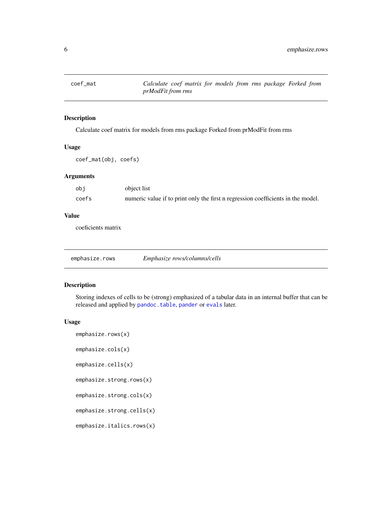<span id="page-5-0"></span>

Calculate coef matrix for models from rms package Forked from prModFit from rms

#### Usage

coef\_mat(obj, coefs)

#### Arguments

| obi   | object list                                                                      |
|-------|----------------------------------------------------------------------------------|
| coefs | numeric value if to print only the first n regression coefficients in the model. |

#### Value

coeficients matrix

emphasize.rows *Emphasize rows/columns/cells*

# Description

Storing indexes of cells to be (strong) emphasized of a tabular data in an internal buffer that can be released and applied by [pandoc.table](#page-77-1), [pander](#page-21-1) or [evals](#page-8-1) later.

#### Usage

```
emphasize.rows(x)
```
emphasize.cols(x)

emphasize.cells(x)

```
emphasize.strong.rows(x)
```
emphasize.strong.cols(x)

emphasize.strong.cells(x)

emphasize.italics.rows(x)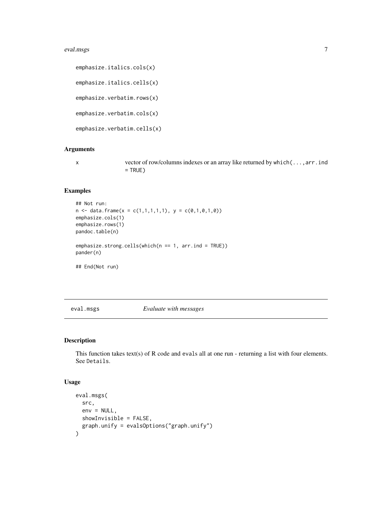#### <span id="page-6-0"></span>eval.msgs 7

emphasize.italics.cols(x) emphasize.italics.cells(x) emphasize.verbatim.rows(x) emphasize.verbatim.cols(x) emphasize.verbatim.cells(x)

#### Arguments

x vector of row/columns indexes or an array like returned by which(...,arr.ind  $=$  TRUE)

#### Examples

```
## Not run:
n \leq - data.frame(x = c(1,1,1,1,1), y = c(0,1,0,1,0))
emphasize.cols(1)
emphasize.rows(1)
pandoc.table(n)
emphasize.strong.cells(which(n == 1, arr.ind = TRUE))
pander(n)
## End(Not run)
```
<span id="page-6-1"></span>

eval.msgs *Evaluate with messages*

# Description

This function takes text(s) of R code and evals all at one run - returning a list with four elements. See Details.

#### Usage

```
eval.msgs(
  src,
  env = NULL,showInvisible = FALSE,
  graph.unify = evalsOptions("graph.unify")
\mathcal{E}
```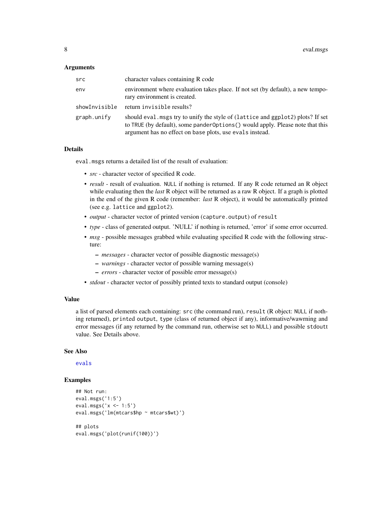#### Arguments

| src           | character values containing R code                                                                                                                                                                                            |
|---------------|-------------------------------------------------------------------------------------------------------------------------------------------------------------------------------------------------------------------------------|
| env           | environment where evaluation takes place. If not set (by default), a new tempo-<br>rary environment is created.                                                                                                               |
| showInvisible | return invisible results?                                                                                                                                                                                                     |
| graph.unify   | should eval msgs try to unify the style of (lattice and ggplot2) plots? If set<br>to TRUE (by default), some pander Options () would apply. Please note that this<br>argument has no effect on base plots, use evals instead. |

#### Details

eval.msgs returns a detailed list of the result of evaluation:

- *src* character vector of specified R code.
- *result* result of evaluation. NULL if nothing is returned. If any R code returned an R object while evaluating then the *last* R object will be returned as a raw R object. If a graph is plotted in the end of the given R code (remember: *last* R object), it would be automatically printed (see e.g. lattice and ggplot2).
- *output* character vector of printed version (capture.output) of result
- *type* class of generated output. 'NULL' if nothing is returned, 'error' if some error occurred.
- *msg* possible messages grabbed while evaluating specified R code with the following structure:
	- *messages* character vector of possible diagnostic message(s)
	- *warnings* character vector of possible warning message(s)
	- *errors* character vector of possible error message(s)
- *stdout* character vector of possibly printed texts to standard output (console)

# Value

a list of parsed elements each containing: src (the command run), result (R object: NULL if nothing returned), printed output, type (class of returned object if any), informative/wawrning and error messages (if any returned by the command run, otherwise set to NULL) and possible stdoutt value. See Details above.

#### See Also

[evals](#page-8-1)

#### Examples

```
## Not run:
eval.msgs('1:5')
eval.msgs('x <- 1:5')
eval.msgs('lm(mtcars$hp ~ mtcars$wt)')
## plots
eval.msgs('plot(runif(100))')
```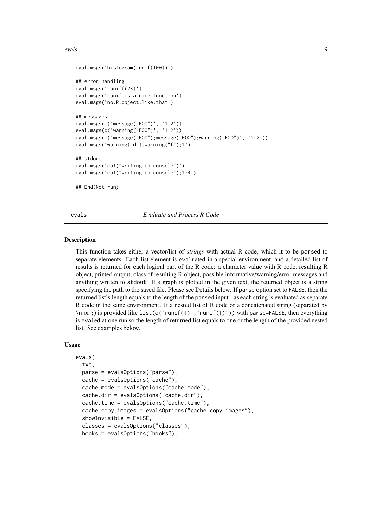#### <span id="page-8-0"></span>evals and the contract of the contract of the contract of the contract of the contract of the contract of the contract of the contract of the contract of the contract of the contract of the contract of the contract of the

```
eval.msgs('histogram(runif(100))')
## error handling
eval.msgs('runiff(23)')
eval.msgs('runif is a nice function')
eval.msgs('no.R.object.like.that')
## messages
eval.msgs(c('message("FOO")', '1:2'))
eval.msgs(c('warning("FOO")', '1:2'))
eval.msgs(c('message("FOO");message("FOO");warning("FOO")', '1:2'))
eval.msgs('warning("d");warning("f");1')
## stdout
eval.msgs('cat("writing to console")')
eval.msgs('cat("writing to console");1:4')
## End(Not run)
```
<span id="page-8-1"></span>evals *Evaluate and Process R Code*

#### Description

This function takes either a vector/list of *strings* with actual R code, which it to be parsed to separate elements. Each list element is evaluated in a special environment, and a detailed list of results is returned for each logical part of the R code: a character value with R code, resulting R object, printed output, class of resulting R object, possible informative/warning/error messages and anything written to stdout. If a graph is plotted in the given text, the returned object is a string specifying the path to the saved file. Please see Details below. If parse option set to FALSE, then the returned list's length equals to the length of the parsed input - as each string is evaluated as separate R code in the same environment. If a nested list of R code or a concatenated string (separated by \n or ;) is provided like list(c('runif(1)','runif(1)')) with parse=FALSE, then everything is evaled at one run so the length of returned list equals to one or the length of the provided nested list. See examples below.

#### Usage

```
evals(
  txt,
  parse = evalsOptions("parse"),
  cache = evalsOptions("cache"),
  cache.mode = evalsOptions("cache.mode"),
  cache.dir = evalsOptions("cache.dir"),
  cache.time = evalsOptions("cache.time"),
  cache.copy.images = evalsOptions("cache.copy.images"),
  showInvisible = FALSE,
  classes = evalsOptions("classes"),
  hooks = evalsOptions("hooks"),
```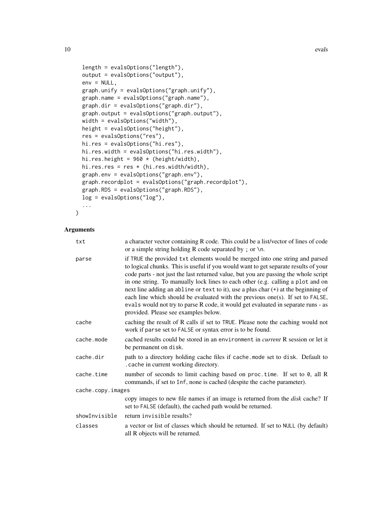```
length = evalsOptions("length"),
output = evalsOptions("output"),
env = NULL,graph.unify = evalsOptions("graph.unify"),
graph.name = evalsOptions("graph.name"),
graph.dir = evalsOptions("graph.dir"),
graph.output = evalsOptions("graph.output"),
width = evalsOptions("width"),
height = evalsOptions("height"),
res = evalsOptions("res"),
hi.res = evalsOptions("hi.res"),
hi.res.width = evalsOptions("hi.res.width"),
hi.res.height = 960 * (height/width),
hi.res.res = res * (hi.res.width/width),
graph.env = evalsOptions("graph.env"),
graph.recordplot = evalsOptions("graph.recordplot"),
graph.RDS = evalsOptions("graph.RDS"),
log = evalsOptions("log"),
...
```

```
\lambda
```

| txt               | a character vector containing R code. This could be a list/vector of lines of code<br>or a simple string holding R code separated by; or $\ln$ .                                                                                                                                                                                                                                                                                                                                                                                                                                                                                                   |
|-------------------|----------------------------------------------------------------------------------------------------------------------------------------------------------------------------------------------------------------------------------------------------------------------------------------------------------------------------------------------------------------------------------------------------------------------------------------------------------------------------------------------------------------------------------------------------------------------------------------------------------------------------------------------------|
| parse             | if TRUE the provided txt elements would be merged into one string and parsed<br>to logical chunks. This is useful if you would want to get separate results of your<br>code parts - not just the last returned value, but you are passing the whole script<br>in one string. To manually lock lines to each other (e.g. calling a plot and on<br>next line adding an abline or text to it), use a plus char (+) at the beginning of<br>each line which should be evaluated with the previous one(s). If set to FALSE,<br>evals would not try to parse R code, it would get evaluated in separate runs - as<br>provided. Please see examples below. |
| cache             | caching the result of R calls if set to TRUE. Please note the caching would not<br>work if parse set to FALSE or syntax error is to be found.                                                                                                                                                                                                                                                                                                                                                                                                                                                                                                      |
| cache.mode        | cached results could be stored in an environment in <i>current</i> R session or let it<br>be permanent on disk.                                                                                                                                                                                                                                                                                                                                                                                                                                                                                                                                    |
| cache.dir         | path to a directory holding cache files if cache. mode set to disk. Default to<br>. cache in current working directory.                                                                                                                                                                                                                                                                                                                                                                                                                                                                                                                            |
| cache.time        | number of seconds to limit caching based on proc. time. If set to 0, all R<br>commands, if set to Inf, none is cached (despite the cache parameter).                                                                                                                                                                                                                                                                                                                                                                                                                                                                                               |
| cache.copy.images |                                                                                                                                                                                                                                                                                                                                                                                                                                                                                                                                                                                                                                                    |
|                   | copy images to new file names if an image is returned from the <i>disk</i> cache? If<br>set to FALSE (default), the cached path would be returned.                                                                                                                                                                                                                                                                                                                                                                                                                                                                                                 |
| showInvisible     | return invisible results?                                                                                                                                                                                                                                                                                                                                                                                                                                                                                                                                                                                                                          |
| classes           | a vector or list of classes which should be returned. If set to NULL (by default)<br>all R objects will be returned.                                                                                                                                                                                                                                                                                                                                                                                                                                                                                                                               |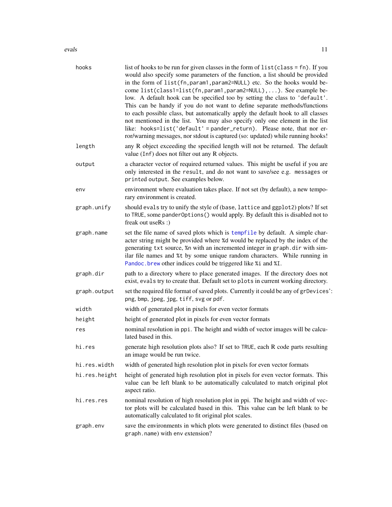evals and the contract of the contract of the contract of the contract of the contract of the contract of the contract of the contract of the contract of the contract of the contract of the contract of the contract of the

| hooks         | list of hooks to be run for given classes in the form of $list(class = fn)$ . If you<br>would also specify some parameters of the function, a list should be provided<br>in the form of list(fn, param1, param2=NULL) etc. So the hooks would be-<br>come list(class1=list(fn, param1, param2=NULL),). See example be-<br>low. A default hook can be specified too by setting the class to 'default'.<br>This can be handy if you do not want to define separate methods/functions<br>to each possible class, but automatically apply the default hook to all classes<br>not mentioned in the list. You may also specify only one element in the list<br>like: hooks=list('default' = pander_return). Please note, that nor er-<br>ror/warning messages, nor stdout is captured (so: updated) while running hooks! |
|---------------|--------------------------------------------------------------------------------------------------------------------------------------------------------------------------------------------------------------------------------------------------------------------------------------------------------------------------------------------------------------------------------------------------------------------------------------------------------------------------------------------------------------------------------------------------------------------------------------------------------------------------------------------------------------------------------------------------------------------------------------------------------------------------------------------------------------------|
| length        | any R object exceeding the specified length will not be returned. The default<br>value (Inf) does not filter out any R objects.                                                                                                                                                                                                                                                                                                                                                                                                                                                                                                                                                                                                                                                                                    |
| output        | a character vector of required returned values. This might be useful if you are<br>only interested in the result, and do not want to save/see e.g. messages or<br>printed output. See examples below.                                                                                                                                                                                                                                                                                                                                                                                                                                                                                                                                                                                                              |
| env           | environment where evaluation takes place. If not set (by default), a new tempo-<br>rary environment is created.                                                                                                                                                                                                                                                                                                                                                                                                                                                                                                                                                                                                                                                                                                    |
| graph.unify   | should evals try to unify the style of (base, lattice and ggplot2) plots? If set<br>to TRUE, some pander Options () would apply. By default this is disabled not to<br>freak out useRs :)                                                                                                                                                                                                                                                                                                                                                                                                                                                                                                                                                                                                                          |
| graph.name    | set the file name of saved plots which is tempfile by default. A simple char-<br>acter string might be provided where %d would be replaced by the index of the<br>generating txt source, %n with an incremented integer in graph.dir with sim-<br>ilar file names and %t by some unique random characters. While running in<br>Pandoc.brew other indices could be triggered like %i and %I.                                                                                                                                                                                                                                                                                                                                                                                                                        |
| graph.dir     | path to a directory where to place generated images. If the directory does not<br>exist, evals try to create that. Default set to plots in current working directory.                                                                                                                                                                                                                                                                                                                                                                                                                                                                                                                                                                                                                                              |
| graph.output  | set the required file format of saved plots. Currently it could be any of grDevices':<br>png, bmp, jpeg, jpg, tiff, svg or pdf.                                                                                                                                                                                                                                                                                                                                                                                                                                                                                                                                                                                                                                                                                    |
| width         | width of generated plot in pixels for even vector formats                                                                                                                                                                                                                                                                                                                                                                                                                                                                                                                                                                                                                                                                                                                                                          |
| height        | height of generated plot in pixels for even vector formats                                                                                                                                                                                                                                                                                                                                                                                                                                                                                                                                                                                                                                                                                                                                                         |
| res           | nominal resolution in ppi. The height and width of vector images will be calcu-<br>lated based in this.                                                                                                                                                                                                                                                                                                                                                                                                                                                                                                                                                                                                                                                                                                            |
| hi.res        | generate high resolution plots also? If set to TRUE, each R code parts resulting<br>an image would be run twice.                                                                                                                                                                                                                                                                                                                                                                                                                                                                                                                                                                                                                                                                                                   |
| hi.res.width  | width of generated high resolution plot in pixels for even vector formats                                                                                                                                                                                                                                                                                                                                                                                                                                                                                                                                                                                                                                                                                                                                          |
| hi.res.height | height of generated high resolution plot in pixels for even vector formats. This<br>value can be left blank to be automatically calculated to match original plot<br>aspect ratio.                                                                                                                                                                                                                                                                                                                                                                                                                                                                                                                                                                                                                                 |
| hi.res.res    | nominal resolution of high resolution plot in ppi. The height and width of vec-<br>tor plots will be calculated based in this. This value can be left blank to be<br>automatically calculated to fit original plot scales.                                                                                                                                                                                                                                                                                                                                                                                                                                                                                                                                                                                         |
| graph.env     | save the environments in which plots were generated to distinct files (based on<br>graph.name) with env extension?                                                                                                                                                                                                                                                                                                                                                                                                                                                                                                                                                                                                                                                                                                 |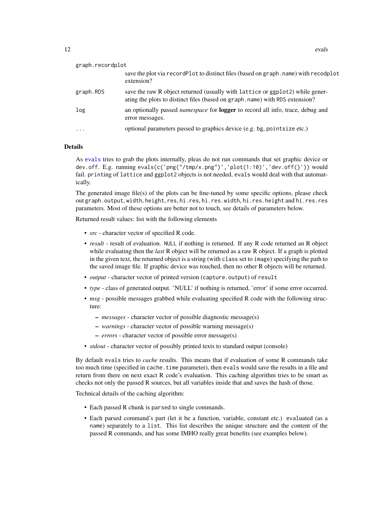| graph.recordplot |                                                                                                                                                              |
|------------------|--------------------------------------------------------------------------------------------------------------------------------------------------------------|
|                  | save the plot via record Plot to distinct files (based on graph. name) with recodplot<br>extension?                                                          |
| graph.RDS        | save the raw R object returned (usually with lattice or ggplot2) while gener-<br>ating the plots to distinct files (based on graph.name) with RDS extension? |
| log              | an optionally passed <i>namespace</i> for <b>logger</b> to record all info, trace, debug and<br>error messages.                                              |
| $\cdots$         | optional parameters passed to graphics device (e.g. bg, pointsize etc.)                                                                                      |

#### Details

As [evals](#page-8-1) tries to grab the plots internally, pleas do not run commands that set graphic device or dev.off. E.g. running evals(c('png("/tmp/x.png")','plot(1:10)','dev.off()')) would fail. printing of lattice and ggplot2 objects is not needed, evals would deal with that automatically.

The generated image file(s) of the plots can be fine-tuned by some specific options, please check out graph.output, width, height, res, hi.res, hi.res.width, hi.res.height and hi.res.res parameters. Most of these options are better not to touch, see details of parameters below.

Returned result values: list with the following elements

- *src* character vector of specified R code.
- *result* result of evaluation. NULL if nothing is returned. If any R code returned an R object while evaluating then the *last* R object will be returned as a raw R object. If a graph is plotted in the given text, the returned object is a string (with class set to image) specifying the path to the saved image file. If graphic device was touched, then no other R objects will be returned.
- *output* character vector of printed version (capture.output) of result
- *type* class of generated output. 'NULL' if nothing is returned, 'error' if some error occurred.
- *msg* possible messages grabbed while evaluating specified R code with the following structure:
	- *messages* character vector of possible diagnostic message(s)
	- *warnings* character vector of possible warning message(s)
	- *errors* character vector of possible error message(s)
- *stdout* character vector of possibly printed texts to standard output (console)

By default evals tries to *cache* results. This means that if evaluation of some R commands take too much time (specified in cache.time parameter), then evals would save the results in a file and return from there on next exact R code's evaluation. This caching algorithm tries to be smart as checks not only the passed R sources, but all variables inside that and saves the hash of those.

Technical details of the caching algorithm:

- Each passed R chunk is parsed to single commands.
- Each parsed command's part (let it be a function, variable, constant etc.) evaluated (as a name) separately to a list. This list describes the unique structure and the content of the passed R commands, and has some IMHO really great benefits (see examples below).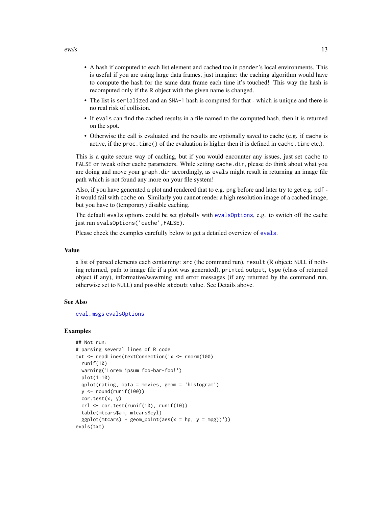- A hash if computed to each list element and cached too in pander's local environments. This is useful if you are using large data frames, just imagine: the caching algorithm would have to compute the hash for the same data frame each time it's touched! This way the hash is recomputed only if the R object with the given name is changed.
- The list is serialized and an SHA-1 hash is computed for that which is unique and there is no real risk of collision.
- If evals can find the cached results in a file named to the computed hash, then it is returned on the spot.
- Otherwise the call is evaluated and the results are optionally saved to cache (e.g. if cache is active, if the proc.time() of the evaluation is higher then it is defined in cache.time etc.).

This is a quite secure way of caching, but if you would encounter any issues, just set cache to FALSE or tweak other cache parameters. While setting cache.dir, please do think about what you are doing and move your graph.dir accordingly, as evals might result in returning an image file path which is not found any more on your file system!

Also, if you have generated a plot and rendered that to e.g. png before and later try to get e.g. pdf it would fail with cache on. Similarly you cannot render a high resolution image of a cached image, but you have to (temporary) disable caching.

The default evals options could be set globally with [evalsOptions](#page-16-1), e.g. to switch off the cache just run evalsOptions('cache',FALSE).

Please check the examples carefully below to get a detailed overview of [evals](#page-8-1).

#### Value

a list of parsed elements each containing: src (the command run), result (R object: NULL if nothing returned, path to image file if a plot was generated), printed output, type (class of returned object if any), informative/wawrning and error messages (if any returned by the command run, otherwise set to NULL) and possible stdoutt value. See Details above.

#### See Also

[eval.msgs](#page-6-1) [evalsOptions](#page-16-1)

#### Examples

```
## Not run:
# parsing several lines of R code
txt <- readLines(textConnection('x <- rnorm(100)
 runif(10)
 warning('Lorem ipsum foo-bar-foo!')
 plot(1:10)
 qplot(rating, data = movies, geom = 'histogram')
 y \leftarrow round(runif(100))
 cor.test(x, y)
 crl <- cor.test(runif(10), runif(10))
  table(mtcars$am, mtcars$cyl)
 ggplot(mtcars) + geom\_point(aes(x = hp, y = mpg))'))evals(txt)
```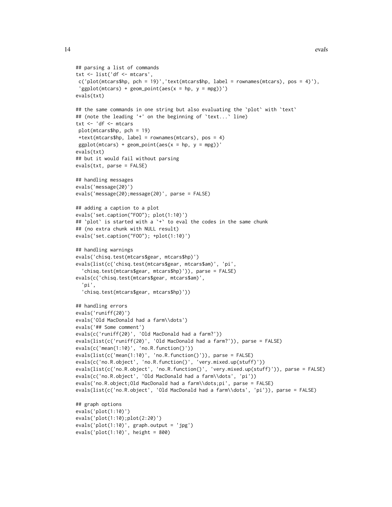```
## parsing a list of commands
txt <- list('df <- mtcars',
c('plot(mtcars$hp, pch = 19)', 'text(mtcars$hp, label = rownames(mtcars), pos = 4)'),'ggplot(mtcars) + geom\_point(aes(x = hp, y = mpg))')evals(txt)
## the same commands in one string but also evaluating the `plot` with `text`
## (note the leading '+' on the beginning of `text...` line)
txt <- 'df <- mtcars
plot(mtcars$hp, pch = 19)
+text(mtcars$hp, label = rownames(mtcars), pos = 4)
ggplot(mtcars) + geom\_point(aes(x = hp, y = mpg))'evals(txt)
## but it would fail without parsing
evals(txt, parse = FALSE)
## handling messages
evals('message(20)')
evals('message(20);message(20)', parse = FALSE)
## adding a caption to a plot
evals('set.caption("FOO"); plot(1:10)')
## `plot` is started with a `+` to eval the codes in the same chunk
## (no extra chunk with NULL result)
evals('set.caption("FOO"); +plot(1:10)')
## handling warnings
evals('chisq.test(mtcars$gear, mtcars$hp)')
evals(list(c('chisq.test(mtcars$gear, mtcars$am)', 'pi',
  'chisq.test(mtcars$gear, mtcars$hp)')), parse = FALSE)
evals(c('chisq.test(mtcars$gear, mtcars$am)',
  'pi',
  'chisq.test(mtcars$gear, mtcars$hp)'))
## handling errors
evals('runiff(20)')
evals('Old MacDonald had a farm\\dots')
evals('## Some comment')
evals(c('runiff(20)', 'Old MacDonald had a farm?'))
evals(list(c('runiff(20)', 'Old MacDonald had a farm?')), parse = FALSE)
evals(c('mean(1:10)', 'no.R.function()'))
evals(list(c('mean(1:10)', 'no.R.function()')), parse = FALSE)
evals(c('no.R.object', 'no.R.function()', 'very.mixed.up(stuff)'))
evals(list(c('no.R.object', 'no.R.function()', 'very.mixed.up(stuff)')), parse = FALSE)
evals(c('no.R.object', 'Old MacDonald had a farm\\dots', 'pi'))
evals('no.R.object;Old MacDonald had a farm\\dots;pi', parse = FALSE)
evals(list(c('no.R.object', 'Old MacDonald had a farm\\dots', 'pi')), parse = FALSE)
## graph options
evals('plot(1:10)')
evals('plot(1:10);plot(2:20)')
evals('plot(1:10)', graph.output = 'jpg')
evals('plot(1:10)', height = 800)
```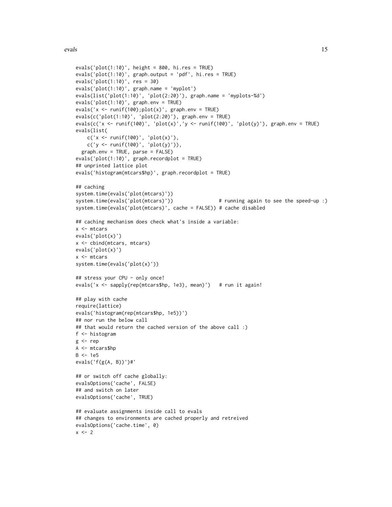```
evals('plot(1:10)', height = 800, hi.res = TRUE)
evals('plot(1:10)', graph.output = 'pdf', hi.res = TRUE)
evals('plot(1:10)', res = 30)
evals('plot(1:10)', graph.name = 'myplot')
evals(list('plot(1:10)', 'plot(2:20)'), graph.name = 'myplots-%d')
evals('plot(1:10)', graph.env = TRUE)
evals('x <- runit(100);plot(x)', graph .env = TRUE)
evals(c('plot(1:10)', 'plot(2:20)'), graph.env = TRUE)
evals(c('x <- runif(100)', 'plot(x)','y <- runif(100)', 'plot(y)'), graph.env = TRUE)
evals(list(
    c('x < - runif(100)', 'plot(x)'),c('y < - runif(100)', 'plot(y)')),
  graph.env = TRUE, parse = FALSE)
evals('plot(1:10)', graph.recordplot = TRUE)
## unprinted lattice plot
evals('histogram(mtcars$hp)', graph.recordplot = TRUE)
## caching
system.time(evals('plot(mtcars)'))
system.time(evals('plot(mtcars)')) # running again to see the speed-up :)
system.time(evals('plot(mtcars)', cache = FALSE)) # cache disabled
## caching mechanism does check what's inside a variable:
x <- mtcars
evals('plot(x)')
x <- cbind(mtcars, mtcars)
evals('plot(x)')
x <- mtcars
system.time(evals('plot(x)'))
## stress your CPU - only once!
evals('x <- sapply(rep(mtcars$hp, 1e3), mean)') # run it again!
## play with cache
require(lattice)
evals('histogram(rep(mtcars$hp, 1e5))')
## nor run the below call
## that would return the cached version of the above call :)
f <- histogram
g \leftarrow repA <- mtcars$hp
B \le -1e5evals('f(g(A, B))')#'
## or switch off cache globally:
evalsOptions('cache', FALSE)
## and switch on later
evalsOptions('cache', TRUE)
## evaluate assignments inside call to evals
## changes to environments are cached properly and retreived
evalsOptions('cache.time', 0)
x \le -2
```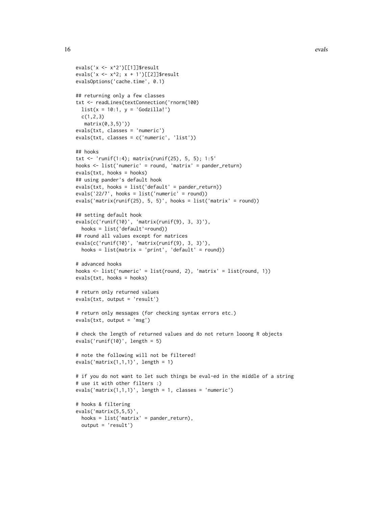```
evals('x <- x^2')[[1]]$result
evals('x <- x^2; x + 1')[[2]]$result
evalsOptions('cache.time', 0.1)
## returning only a few classes
txt <- readLines(textConnection('rnorm(100)
 list(x = 10:1, y = 'Godzilla!)c(1,2,3)
  matrix(0,3,5)'))
evals(txt, classes = 'numeric')
evals(txt, classes = c('numeric', 'list'))
## hooks
txt <- 'runif(1:4); matrix(runif(25), 5, 5); 1:5'
hooks <- list('numeric' = round, 'matrix' = pander_return)
evals(txt, hooks = hooks)
## using pander's default hook
evals(txt, hooks = list('default' = pander_return))
evals('22/7', hooks = list('numeric' = round))
evals('matrix(runif(25), 5, 5)', hooks = list('matrix' = round))
## setting default hook
evals(c('runif(10)', 'matrix(runif(9), 3, 3)'),
 hooks = list('default'=round))
## round all values except for matrices
evals(c('runif(10)', 'matrix(runif(9), 3, 3)'),
  hooks = list(matrix = 'print', 'default' = round))# advanced hooks
hooks <- list('numeric' = list(round, 2), 'matrix' = list(round, 1))
evals(txt, hooks = hooks)
# return only returned values
evals(txt, output = 'result')
# return only messages (for checking syntax errors etc.)
evals(txt, output = 'msg')
# check the length of returned values and do not return looong R objects
evals('runif(10)', length = 5)
# note the following will not be filtered!
evals('matrix(1,1,1)', length = 1)
# if you do not want to let such things be eval-ed in the middle of a string
# use it with other filters :)
evals('matrix(1,1,1)', length = 1, classes = 'numeric')
# hooks & filtering
evals('matrix(5,5,5)',
  hooks = list('matrix' = pander_return),
  output = 'result')
```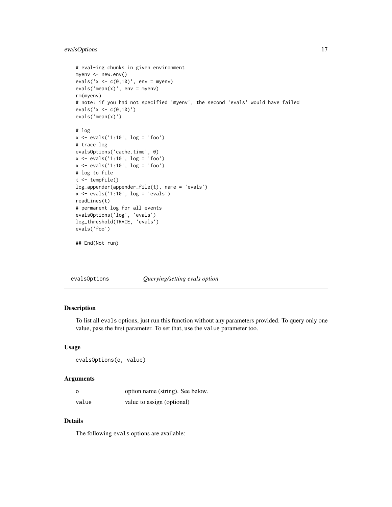# <span id="page-16-0"></span>evalsOptions 17

```
# eval-ing chunks in given environment
myenv <- new.env()
evals('x \leftarrow c(0,10)', env = myenv)
evals('mean(x)'), env = myenv)
rm(myenv)
# note: if you had not specified 'myenv', the second 'evals' would have failed
evals('x < -c(0,10)')evals('mean(x)')
# log
x <- evals('1:10', log = 'foo')
# trace log
evalsOptions('cache.time', 0)
x <- evals('1:10', log = 'foo')
x <- evals('1:10', log = 'foo')
# log to file
t <- tempfile()
log_appender(appender_file(t), name = 'evals')
x \leftarrow \text{evals('1:10', log = 'evals')}readLines(t)
# permanent log for all events
evalsOptions('log', 'evals')
log_threshold(TRACE, 'evals')
evals('foo')
## End(Not run)
```
<span id="page-16-1"></span>evalsOptions *Querying/setting evals option*

#### Description

To list all evals options, just run this function without any parameters provided. To query only one value, pass the first parameter. To set that, use the value parameter too.

#### Usage

evalsOptions(o, value)

#### Arguments

| $\circ$ | option name (string). See below. |
|---------|----------------------------------|
| value   | value to assign (optional)       |

#### Details

The following evals options are available: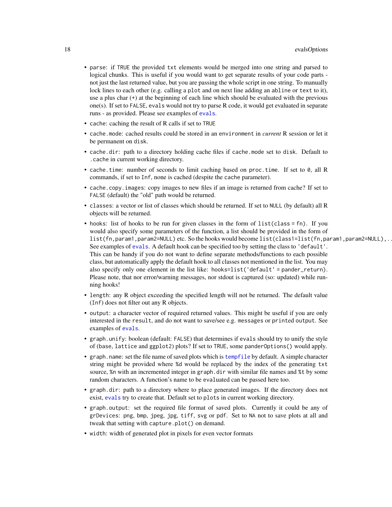- parse: if TRUE the provided txt elements would be merged into one string and parsed to logical chunks. This is useful if you would want to get separate results of your code parts not just the last returned value, but you are passing the whole script in one string. To manually lock lines to each other (e.g. calling a plot and on next line adding an abline or text to it), use a plus char (+) at the beginning of each line which should be evaluated with the previous one(s). If set to FALSE, evals would not try to parse R code, it would get evaluated in separate runs - as provided. Please see examples of [evals](#page-8-1).
- cache: caching the result of R calls if set to TRUE
- cache.mode: cached results could be stored in an environment in *current* R session or let it be permanent on disk.
- cache.dir: path to a directory holding cache files if cache.mode set to disk. Default to .cache in current working directory.
- cache.time: number of seconds to limit caching based on proc.time. If set to 0, all R commands, if set to Inf, none is cached (despite the cache parameter).
- cache.copy.images: copy images to new files if an image is returned from cache? If set to FALSE (default) the "old" path would be returned.
- classes: a vector or list of classes which should be returned. If set to NULL (by default) all R objects will be returned.
- hooks: list of hooks to be run for given classes in the form of list(class = fn). If you would also specify some parameters of the function, a list should be provided in the form of list(fn,param1,param2=NULL) etc. So the hooks would become list(class1=list(fn,param1,param2=NULL),. See examples of [evals](#page-8-1). A default hook can be specified too by setting the class to 'default'. This can be handy if you do not want to define separate methods/functions to each possible class, but automatically apply the default hook to all classes not mentioned in the list. You may also specify only one element in the list like: hooks=list('default' = pander\_return). Please note, that nor error/warning messages, nor stdout is captured (so: updated) while running hooks!
- length: any R object exceeding the specified length will not be returned. The default value (Inf) does not filter out any R objects.
- output: a character vector of required returned values. This might be useful if you are only interested in the result, and do not want to save/see e.g. messages or printed output. See examples of [evals](#page-8-1).
- graph.unify: boolean (default: FALSE) that determines if evals should try to unify the style of (base, lattice and ggplot2) plots? If set to TRUE, some panderOptions() would apply.
- graph.name: set the file name of saved plots which is [tempfile](#page-0-0) by default. A simple character string might be provided where %d would be replaced by the index of the generating txt source, %n with an incremented integer in graph.dir with similar file names and %t by some random characters. A function's name to be evaluated can be passed here too.
- graph.dir: path to a directory where to place generated images. If the directory does not exist, [evals](#page-8-1) try to create that. Default set to plots in current working directory.
- graph.output: set the required file format of saved plots. Currently it could be any of grDevices: png, bmp, jpeg, jpg, tiff, svg or pdf. Set to NA not to save plots at all and tweak that setting with capture.plot() on demand.
- width: width of generated plot in pixels for even vector formats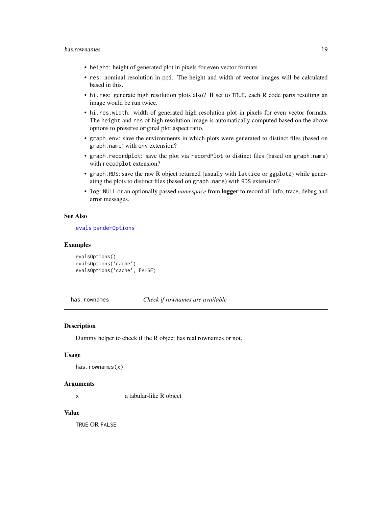- <span id="page-18-0"></span>• height: height of generated plot in pixels for even vector formats
- res: nominal resolution in ppi. The height and width of vector images will be calculated based in this.
- hi.res: generate high resolution plots also? If set to TRUE, each R code parts resulting an image would be run twice.
- hi.res.width: width of generated high resolution plot in pixels for even vector formats. The height and res of high resolution image is automatically computed based on the above options to preserve original plot aspect ratio.
- graph.env: save the environments in which plots were generated to distinct files (based on graph.name) with env extension?
- graph.recordplot: save the plot via recordPlot to distinct files (based on graph.name) with recodplot extension?
- graph.RDS: save the raw R object returned (usually with lattice or ggplot2) while generating the plots to distinct files (based on graph.name) with RDS extension?
- log: NULL or an optionally passed *namespace* from logger to record all info, trace, debug and error messages.

#### See Also

#### [evals](#page-8-1) [panderOptions](#page-59-1)

#### Examples

```
evalsOptions()
evalsOptions('cache')
evalsOptions('cache', FALSE)
```
has.rownames *Check if rownames are available*

#### **Description**

Dummy helper to check if the R object has real rownames or not.

#### Usage

```
has.rownames(x)
```
#### **Arguments**

x a tabular-like R object

#### Value

TRUE OR FALSE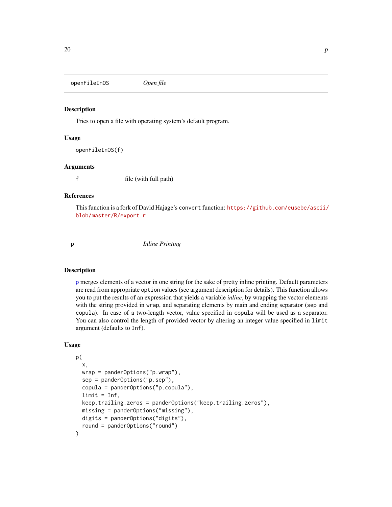<span id="page-19-0"></span>openFileInOS *Open file*

#### Description

Tries to open a file with operating system's default program.

#### Usage

openFileInOS(f)

#### Arguments

f file (with full path)

#### References

This function is a fork of David Hajage's convert function: [https://github.com/eusebe/ascii/](https://github.com/eusebe/ascii/blob/master/R/export.r) [blob/master/R/export.r](https://github.com/eusebe/ascii/blob/master/R/export.r)

<span id="page-19-1"></span>

p *Inline Printing*

#### Description

[p](#page-19-1) merges elements of a vector in one string for the sake of pretty inline printing. Default parameters are read from appropriate option values (see argument description for details). This function allows you to put the results of an expression that yields a variable *inline*, by wrapping the vector elements with the string provided in wrap, and separating elements by main and ending separator (sep and copula). In case of a two-length vector, value specified in copula will be used as a separator. You can also control the length of provided vector by altering an integer value specified in limit argument (defaults to Inf).

#### Usage

```
p(
  x,
  wrap = panderOptions("p.wrap"),
  sep = panderOptions("p.sep"),
  copula = panderOptions("p.copula"),
  limit = Inf,keep.trailing.zeros = panderOptions("keep.trailing.zeros"),
  missing = panderOptions("missing"),
  digits = panderOptions("digits"),
  round = panderOptions("round")
)
```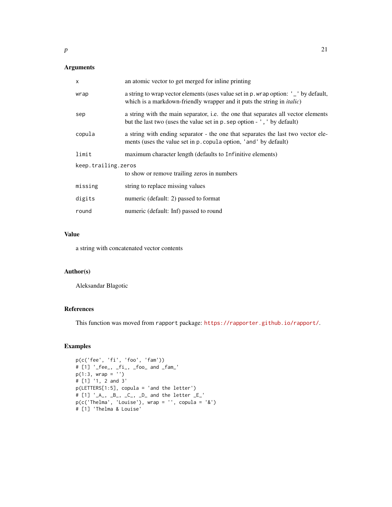# Arguments

| x                   | an atomic vector to get merged for inline printing                                                                                                                    |  |
|---------------------|-----------------------------------------------------------------------------------------------------------------------------------------------------------------------|--|
| wrap                | a string to wrap vector elements (uses value set in p. wrap option: '_' by default,<br>which is a markdown-friendly wrapper and it puts the string in <i>italic</i> ) |  |
| sep                 | a string with the main separator, i.e. the one that separates all vector elements<br>but the last two (uses the value set in p. sep option - ', ' by default)         |  |
| copula              | a string with ending separator - the one that separates the last two vector ele-<br>ments (uses the value set in p. copula option, 'and' by default)                  |  |
| limit               | maximum character length (defaults to Infinitive elements)                                                                                                            |  |
| keep.trailing.zeros |                                                                                                                                                                       |  |
|                     | to show or remove trailing zeros in numbers                                                                                                                           |  |
| missing             | string to replace missing values                                                                                                                                      |  |
| digits              | numeric (default: 2) passed to format                                                                                                                                 |  |
| round               | numeric (default: Inf) passed to round                                                                                                                                |  |

# Value

a string with concatenated vector contents

# Author(s)

Aleksandar Blagotic

#### References

This function was moved from rapport package: <https://rapporter.github.io/rapport/>.

#### Examples

```
p(c('fee', 'fi', 'foo', 'fam'))
# [1] '_fee_, _fi_, _foo_ and _fam_'
p(1:3, wrap = '')# [1] '1, 2 and 3'
p(LETTERS[1:5], copula = 'and the letter')
# [1] '_A_, _B_, _C_, _D_ and the letter _E_'
p(c('Thelma', 'Louise'), wrap = '', copula = '&')
# [1] 'Thelma & Louise'
```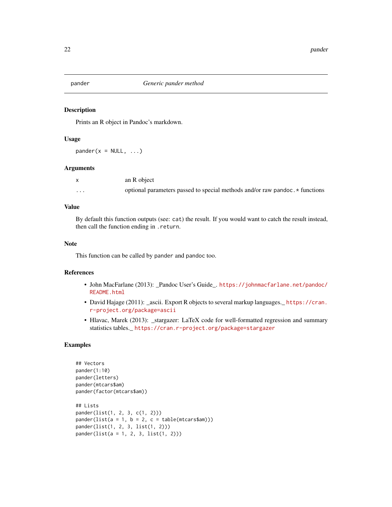<span id="page-21-1"></span><span id="page-21-0"></span>

Prints an R object in Pandoc's markdown.

#### Usage

 $pander(x = NULL, ...)$ 

#### Arguments

|   | an R object                                                                  |
|---|------------------------------------------------------------------------------|
| . | optional parameters passed to special methods and/or raw pandoc. * functions |

#### Value

By default this function outputs (see: cat) the result. If you would want to catch the result instead, then call the function ending in .return.

# Note

This function can be called by pander and pandoc too.

# References

- John MacFarlane (2013): \_Pandoc User's Guide\_. [https://johnmacfarlane.net/pandoc/](https://johnmacfarlane.net/pandoc/README.html) [README.html](https://johnmacfarlane.net/pandoc/README.html)
- David Hajage (2011): \_ascii. Export R objects to several markup languages.\_ [https://cran.](https://cran.r-project.org/package=ascii) [r-project.org/package=ascii](https://cran.r-project.org/package=ascii)
- Hlavac, Marek (2013): \_stargazer: LaTeX code for well-formatted regression and summary statistics tables.\_ <https://cran.r-project.org/package=stargazer>

# Examples

```
## Vectors
pander(1:10)
pander(letters)
pander(mtcars$am)
pander(factor(mtcars$am))
## Lists
pander(list(1, 2, 3, c(1, 2)))
pander(list(a = 1, b = 2, c = table(mtcars5am)))pander(list(1, 2, 3, list(1, 2)))
pander(list(a = 1, 2, 3, list(1, 2)))
```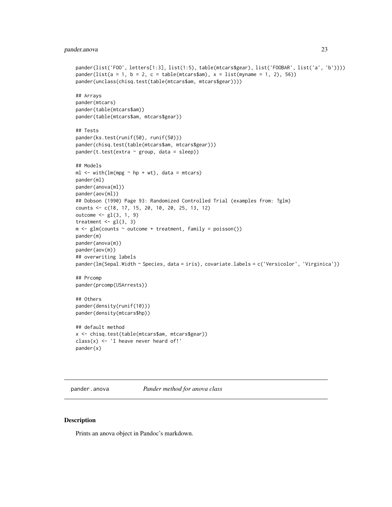#### <span id="page-22-0"></span>pander.anova 23

```
pander(list('FOO', letters[1:3], list(1:5), table(mtcars$gear), list('FOOBAR', list('a', 'b'))))
pander(list(a = 1, b = 2, c = table(mtcars$am), x = list(myname = 1, 2), 56))
pander(unclass(chisq.test(table(mtcars$am, mtcars$gear))))
## Arrays
pander(mtcars)
pander(table(mtcars$am))
pander(table(mtcars$am, mtcars$gear))
## Tests
pander(ks.test(runif(50), runif(50)))
pander(chisq.test(table(mtcars$am, mtcars$gear)))
pander(t.test(extra \sim group, data = sleep))## Models
ml \leq with(lm(mpg \sim hp + wt), data = mtcars)pander(ml)
pander(anova(ml))
pander(aov(ml))
## Dobson (1990) Page 93: Randomized Controlled Trial (examples from: ?glm)
counts <- c(18, 17, 15, 20, 10, 20, 25, 13, 12)
outcome <- gl(3, 1, 9)
treatment \leq gl(3, 3)
m \leq glm(counts \sim outcome + treatment, family = poisson())
pander(m)
pander(anova(m))
pander(aov(m))
## overwriting labels
pander(lm(Sepal.Width ~ Species, data = iris), covariate.labels = c('Versicolor', 'Virginica'))
## Prcomp
pander(prcomp(USArrests))
## Others
pander(density(runif(10)))
pander(density(mtcars$hp))
## default method
x <- chisq.test(table(mtcars$am, mtcars$gear))
class(x) \leq 'I heave never heard of!'
pander(x)
```
pander.anova *Pander method for anova class*

#### Description

Prints an anova object in Pandoc's markdown.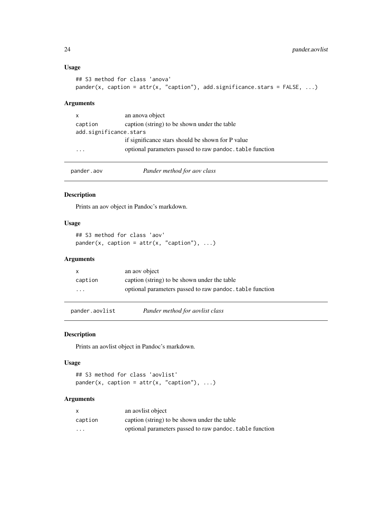#### Usage

```
## S3 method for class 'anova'
pander(x, caption = attr(x, "caption"), add.significance.stars = FALSE, ...)
```
#### Arguments

| $\mathsf{x}$           | an anova object                                          |  |
|------------------------|----------------------------------------------------------|--|
| caption                | caption (string) to be shown under the table             |  |
| add.significance.stars |                                                          |  |
|                        | if significance stars should be shown for P value        |  |
| $\ddotsc$              | optional parameters passed to raw pandoc. table function |  |

| pander.aov | Pander method for aov class |  |
|------------|-----------------------------|--|
|------------|-----------------------------|--|

# Description

Prints an aov object in Pandoc's markdown.

# Usage

```
## S3 method for class 'aov'
pander(x, caption = attr(x, "caption"), ...)
```
# Arguments

|                         | an aoy object                                            |
|-------------------------|----------------------------------------------------------|
| caption                 | caption (string) to be shown under the table             |
| $\cdot$ $\cdot$ $\cdot$ | optional parameters passed to raw pandoc, table function |

pander.aovlist *Pander method for aovlist class*

# Description

Prints an aovlist object in Pandoc's markdown.

#### Usage

```
## S3 method for class 'aovlist'
pander(x, caption = attr(x, "caption"), ...)
```

| x       | an aovlist object                                        |
|---------|----------------------------------------------------------|
| caption | caption (string) to be shown under the table             |
| $\cdot$ | optional parameters passed to raw pandoc, table function |

<span id="page-23-0"></span>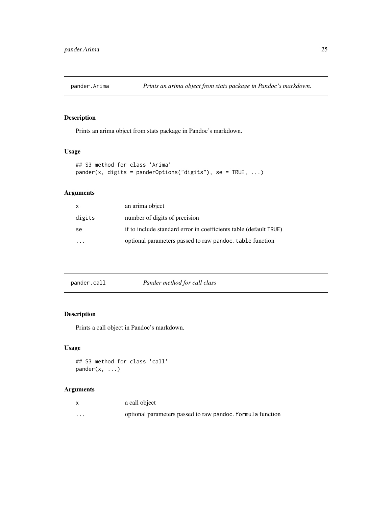<span id="page-24-0"></span>

Prints an arima object from stats package in Pandoc's markdown.

# Usage

```
## S3 method for class 'Arima'
pander(x, digits = panderOptions("digits"), se = TRUE, ...)
```
# Arguments

| X      | an arima object                                                   |
|--------|-------------------------------------------------------------------|
| digits | number of digits of precision                                     |
| se     | if to include standard error in coefficients table (default TRUE) |
|        | optional parameters passed to raw pandoc, table function          |

| pander.call | Pander method for call class |
|-------------|------------------------------|
|             |                              |

# Description

Prints a call object in Pandoc's markdown.

#### Usage

```
## S3 method for class 'call'
pander(x, \ldots)
```

|          | a call object                                              |
|----------|------------------------------------------------------------|
| $\cdots$ | optional parameters passed to raw pandoc. formula function |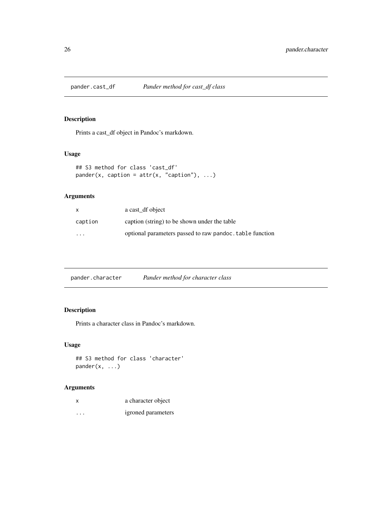<span id="page-25-0"></span>

Prints a cast\_df object in Pandoc's markdown.

# Usage

```
## S3 method for class 'cast_df'
pander(x, caption = attr(x, "caption"), ...)
```
# Arguments

| X                       | a cast_df object                                         |
|-------------------------|----------------------------------------------------------|
| caption                 | caption (string) to be shown under the table             |
| $\cdot$ $\cdot$ $\cdot$ | optional parameters passed to raw pandoc, table function |

# Description

Prints a character class in Pandoc's markdown.

# Usage

## S3 method for class 'character' pander(x, ...)

| x        | a character object |
|----------|--------------------|
| $\cdots$ | igroned parameters |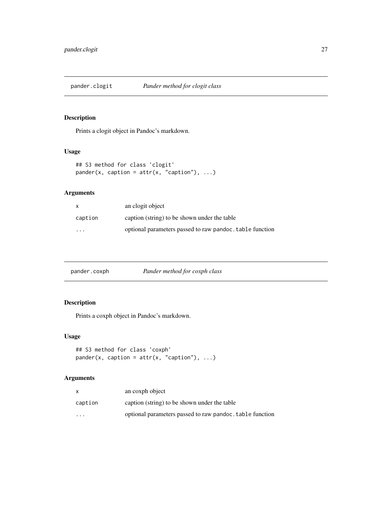<span id="page-26-0"></span>

Prints a clogit object in Pandoc's markdown.

# Usage

```
## S3 method for class 'clogit'
pander(x, caption = attr(x, "caption"), ...)
```
# Arguments

| $\mathsf{x}$         | an clogit object                                         |
|----------------------|----------------------------------------------------------|
| caption              | caption (string) to be shown under the table             |
| $\ddot{\phantom{0}}$ | optional parameters passed to raw pandoc, table function |

| pander.coxph | Pander method for coxph class |  |
|--------------|-------------------------------|--|
|              |                               |  |

# Description

Prints a coxph object in Pandoc's markdown.

# Usage

```
## S3 method for class 'coxph'
pander(x, caption = attr(x, "caption"), ...)
```

|          | an coxph object                                          |
|----------|----------------------------------------------------------|
| caption  | caption (string) to be shown under the table             |
| $\cdots$ | optional parameters passed to raw pandoc, table function |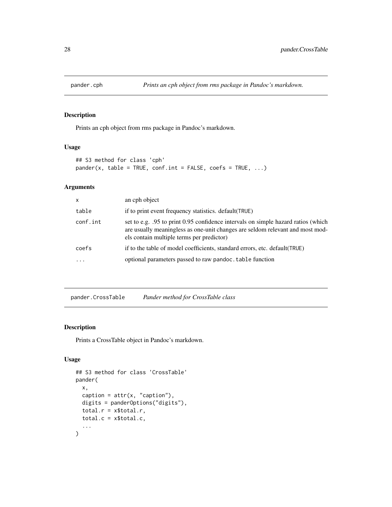<span id="page-27-0"></span>

Prints an cph object from rms package in Pandoc's markdown.

# Usage

```
## S3 method for class 'cph'
pander(x, table = TRUE, conf.int = FALSE, coefs = TRUE, ...)
```
# Arguments

| $\mathsf{x}$ | an cph object                                                                                                                                                                                                   |
|--------------|-----------------------------------------------------------------------------------------------------------------------------------------------------------------------------------------------------------------|
| table        | if to print event frequency statistics. default (TRUE)                                                                                                                                                          |
| conf.int     | set to e.g. .95 to print 0.95 confidence intervals on simple hazard ratios (which<br>are usually meaningless as one-unit changes are seldom relevant and most mod-<br>els contain multiple terms per predictor) |
| coefs        | if to the table of model coefficients, standard errors, etc. default (TRUE)                                                                                                                                     |
|              | optional parameters passed to raw pandoc. table function                                                                                                                                                        |

pander.CrossTable *Pander method for CrossTable class*

# Description

Prints a CrossTable object in Pandoc's markdown.

# Usage

```
## S3 method for class 'CrossTable'
pander(
 x,
 caption = attr(x, "caption"),
 digits = panderOptions("digits"),
 total.r = x$total.r,
  total.c = x$total.c,
  ...
\mathcal{L}
```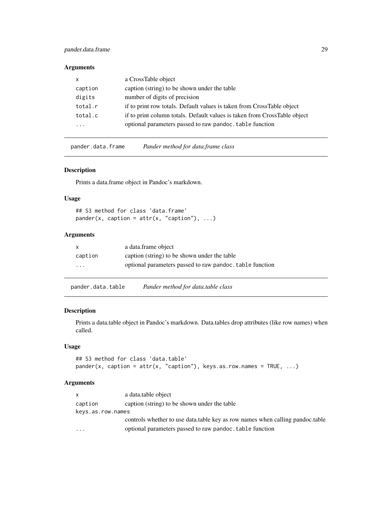# <span id="page-28-0"></span>pander.data.frame 29

#### Arguments

| $\mathsf{x}$            | a CrossTable object                                                       |
|-------------------------|---------------------------------------------------------------------------|
| caption                 | caption (string) to be shown under the table                              |
| digits                  | number of digits of precision                                             |
| total.r                 | if to print row totals. Default values is taken from CrossTable object    |
| total.c                 | if to print column totals. Default values is taken from CrossTable object |
| $\cdot$ $\cdot$ $\cdot$ | optional parameters passed to raw pandoc. table function                  |

pander.data.frame *Pander method for data.frame class*

#### Description

Prints a data.frame object in Pandoc's markdown.

#### Usage

## S3 method for class 'data.frame'  $pander(x, caption = attr(x, "caption"), ...)$ 

#### Arguments

| X       | a data.frame object                                      |
|---------|----------------------------------------------------------|
| caption | caption (string) to be shown under the table             |
| .       | optional parameters passed to raw pandoc, table function |

pander.data.table *Pander method for data.table class*

# Description

Prints a data.table object in Pandoc's markdown. Data.tables drop attributes (like row names) when called.

#### Usage

## S3 method for class 'data.table' pander(x, caption =  $attr(x, "caption")$ , keys.as.row.names = TRUE, ...)

| $\mathsf{x}$      | a data.table object                                                             |
|-------------------|---------------------------------------------------------------------------------|
| caption           | caption (string) to be shown under the table                                    |
| keys.as.row.names |                                                                                 |
|                   | controls whether to use data, table key as row names when calling pandoc, table |
| $\cdots$          | optional parameters passed to raw pandoc. table function                        |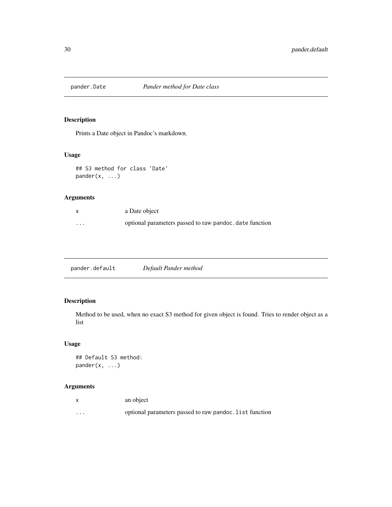<span id="page-29-0"></span>

Prints a Date object in Pandoc's markdown.

# Usage

## S3 method for class 'Date' pander(x, ...)

# Arguments

|          | a Date object                                           |
|----------|---------------------------------------------------------|
| $\cdots$ | optional parameters passed to raw pandoc, date function |

pander.default *Default Pander method*

# Description

Method to be used, when no exact S3 method for given object is found. Tries to render object as a list

# Usage

```
## Default S3 method:
pander(x, \ldots)
```

|          | an object                                               |
|----------|---------------------------------------------------------|
| $\cdots$ | optional parameters passed to raw pandoc. list function |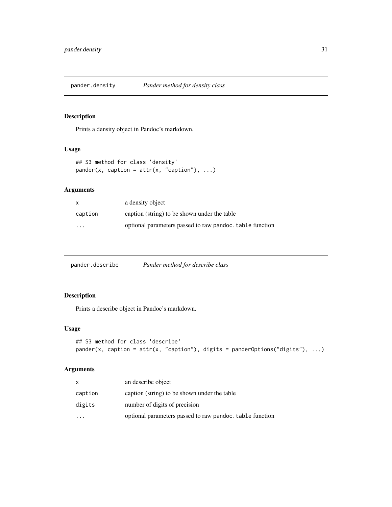<span id="page-30-0"></span>

Prints a density object in Pandoc's markdown.

# Usage

```
## S3 method for class 'density'
pander(x, caption = attr(x, "caption"), ...)
```
# Arguments

| X                       | a density object                                         |
|-------------------------|----------------------------------------------------------|
| caption                 | caption (string) to be shown under the table             |
| $\cdot$ $\cdot$ $\cdot$ | optional parameters passed to raw pandoc, table function |

# Description

Prints a describe object in Pandoc's markdown.

# Usage

```
## S3 method for class 'describe'
pander(x, caption = attr(x, "caption"), digits = pander0ptions("digits"), ...)
```

| x                       | an describe object                                       |
|-------------------------|----------------------------------------------------------|
| caption                 | caption (string) to be shown under the table             |
| digits                  | number of digits of precision                            |
| $\cdot$ $\cdot$ $\cdot$ | optional parameters passed to raw pandoc. table function |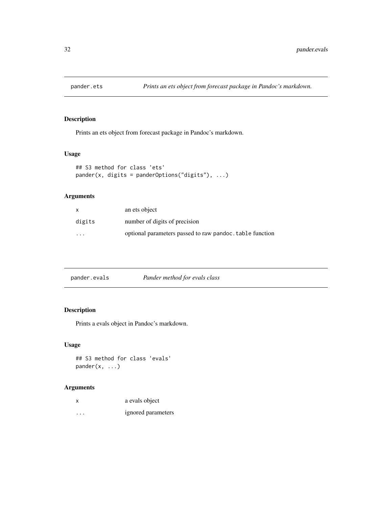<span id="page-31-0"></span>

Prints an ets object from forecast package in Pandoc's markdown.

# Usage

```
## S3 method for class 'ets'
pander(x, digits = panderOptions("digits"), ...)
```
# Arguments

| x       | an ets object                                            |
|---------|----------------------------------------------------------|
| digits  | number of digits of precision                            |
| $\cdot$ | optional parameters passed to raw pandoc, table function |

| Pander method for evals class<br>pander.evals |  |
|-----------------------------------------------|--|
|-----------------------------------------------|--|

# Description

Prints a evals object in Pandoc's markdown.

# Usage

## S3 method for class 'evals' pander(x, ...)

| x                    | a evals object     |
|----------------------|--------------------|
| $\ddot{\phantom{0}}$ | ignored parameters |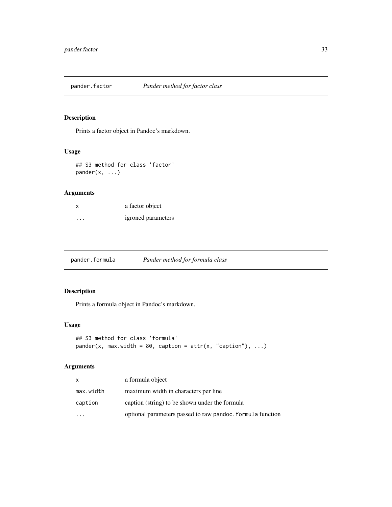<span id="page-32-0"></span>

Prints a factor object in Pandoc's markdown.

# Usage

## S3 method for class 'factor' pander(x, ...)

# Arguments

| x       | a factor object    |
|---------|--------------------|
| $\cdot$ | igroned parameters |

pander.formula *Pander method for formula class*

# Description

Prints a formula object in Pandoc's markdown.

# Usage

```
## S3 method for class 'formula'
pander(x, max<u>.width = 80,</u> caption = attr(x, "caption"), ...)
```

| x         | a formula object                                           |
|-----------|------------------------------------------------------------|
| max.width | maximum width in characters per line                       |
| caption   | caption (string) to be shown under the formula             |
|           | optional parameters passed to raw pandoc. formula function |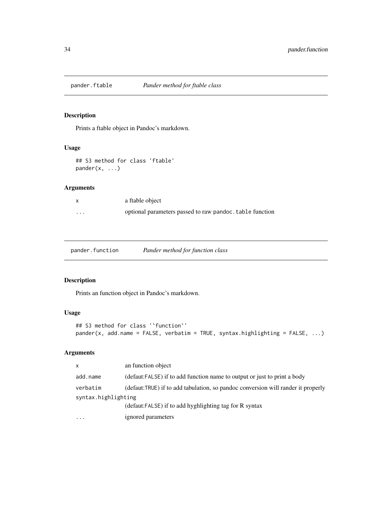<span id="page-33-0"></span>

Prints a ftable object in Pandoc's markdown.

# Usage

```
## S3 method for class 'ftable'
pander(x, ...)
```
# Arguments

| X        | a ftable object                                          |
|----------|----------------------------------------------------------|
| $\cdots$ | optional parameters passed to raw pandoc. table function |

pander.function *Pander method for function class*

# Description

Prints an function object in Pandoc's markdown.

# Usage

```
## S3 method for class '`function`'
pander(x, add.name = FALSE, verbatim = TRUE, syntax.highlighting = FALSE, ...)
```

| $\mathsf{x}$        | an function object                                                               |
|---------------------|----------------------------------------------------------------------------------|
| add.name            | (defaut:FALSE) if to add function name to output or just to print a body         |
| verbatim            | (defaut:TRUE) if to add tabulation, so pandoc conversion will rander it properly |
| syntax.highlighting |                                                                                  |
|                     | (defaut:FALSE) if to add hyghlighting tag for R syntax                           |
| .                   | ignored parameters                                                               |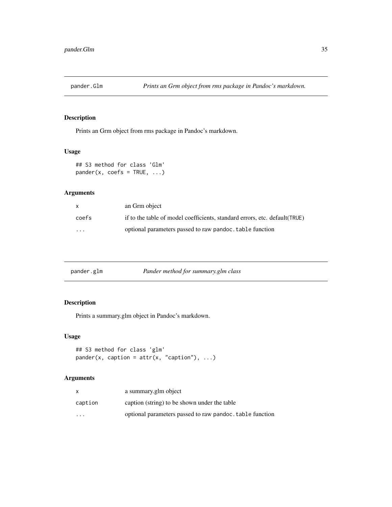<span id="page-34-0"></span>

Prints an Grm object from rms package in Pandoc's markdown.

# Usage

## S3 method for class 'Glm'  $pander(x, coefs = TRUE, ...)$ 

# Arguments

| X                       | an Grm object                                                              |
|-------------------------|----------------------------------------------------------------------------|
| coefs                   | if to the table of model coefficients, standard errors, etc. default(TRUE) |
| $\cdot$ $\cdot$ $\cdot$ | optional parameters passed to raw pandoc. table function                   |

|  | pander.glm | Pander method for summary.glm class |
|--|------------|-------------------------------------|
|--|------------|-------------------------------------|

# Description

Prints a summary.glm object in Pandoc's markdown.

# Usage

```
## S3 method for class 'glm'
pander(x, caption = attr(x, "caption"), ...)
```

|          | a summary.glm object                                     |
|----------|----------------------------------------------------------|
| caption  | caption (string) to be shown under the table             |
| $\cdots$ | optional parameters passed to raw pandoc, table function |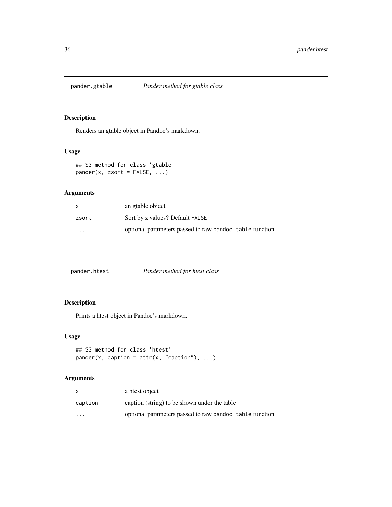<span id="page-35-0"></span>

Renders an gtable object in Pandoc's markdown.

# Usage

## S3 method for class 'gtable'  $pander(x, zsort = FALSE, ...)$ 

# Arguments

| x        | an gtable object                                         |
|----------|----------------------------------------------------------|
| zsort    | Sort by z values? Default FALSE                          |
| $\cdots$ | optional parameters passed to raw pandoc, table function |

| pander.htest | Pander method for htest class |
|--------------|-------------------------------|
|              |                               |

# Description

Prints a htest object in Pandoc's markdown.

# Usage

```
## S3 method for class 'htest'
pander(x, caption = attr(x, "caption"), ...)
```

|          | a htest object                                           |
|----------|----------------------------------------------------------|
| caption  | caption (string) to be shown under the table             |
| $\cdots$ | optional parameters passed to raw pandoc, table function |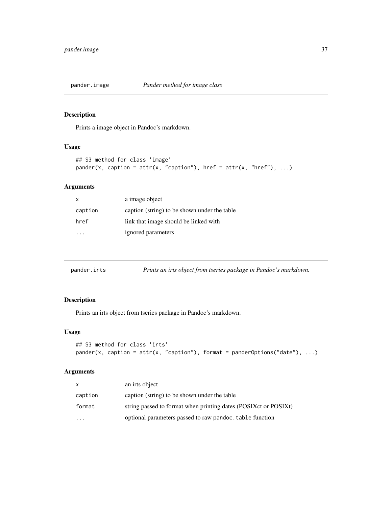Prints a image object in Pandoc's markdown.

#### Usage

```
## S3 method for class 'image'
pander(x, caption = attr(x, "caption"), href = attr(x, "href"), ...)
```
# Arguments

| X       | a image object                               |
|---------|----------------------------------------------|
| caption | caption (string) to be shown under the table |
| href    | link that image should be linked with        |
|         | ignored parameters                           |

|  | pander.irts | Prints an irts object from tseries package in Pandoc's markdown. |
|--|-------------|------------------------------------------------------------------|
|--|-------------|------------------------------------------------------------------|

# Description

Prints an irts object from tseries package in Pandoc's markdown.

#### Usage

```
## S3 method for class 'irts'
pander(x, caption = attr(x, "caption"), format = panderOptions("date"), ...)
```

| x         | an irts object                                                  |
|-----------|-----------------------------------------------------------------|
| caption   | caption (string) to be shown under the table                    |
| format    | string passed to format when printing dates (POSIXct or POSIXt) |
| $\ddotsc$ | optional parameters passed to raw pandoc. table function        |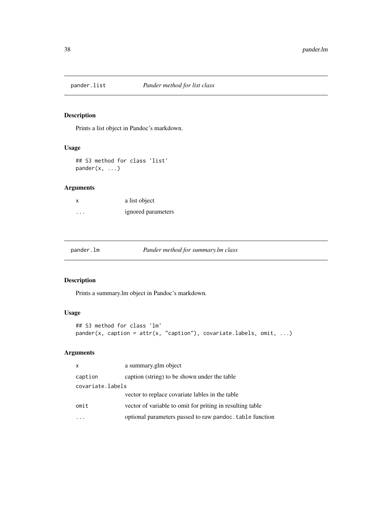Prints a list object in Pandoc's markdown.

# Usage

```
## S3 method for class 'list'
pander(x, ...)
```
## Arguments

| $\times$ | a list object      |
|----------|--------------------|
| $\cdots$ | ignored parameters |

pander.lm *Pander method for summary.lm class*

## Description

Prints a summary.lm object in Pandoc's markdown.

## Usage

```
## S3 method for class 'lm'
pander(x, caption = attr(x, "caption"), covariate.labels, omit, ...)
```

| $\mathsf{x}$     | a summary.glm object                                      |
|------------------|-----------------------------------------------------------|
| caption          | caption (string) to be shown under the table              |
| covariate.labels |                                                           |
|                  | vector to replace covariate lables in the table           |
| omit             | vector of variable to omit for priting in resulting table |
|                  | optional parameters passed to raw pandoc. table function  |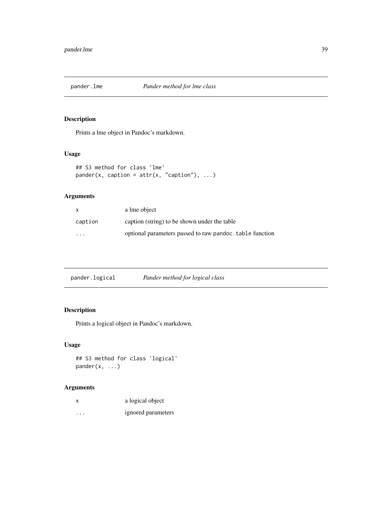Prints a lme object in Pandoc's markdown.

## Usage

```
## S3 method for class 'lme'
pander(x, caption = attr(x, "caption"), ...)
```
## Arguments

| $\mathsf{x}$            | a lme object                                             |
|-------------------------|----------------------------------------------------------|
| caption                 | caption (string) to be shown under the table             |
| $\cdot$ $\cdot$ $\cdot$ | optional parameters passed to raw pandoc, table function |

|  | pander.logical | Pander method for logical class |
|--|----------------|---------------------------------|
|--|----------------|---------------------------------|

# Description

Prints a logical object in Pandoc's markdown.

# Usage

## S3 method for class 'logical' pander(x, ...)

| x                       | a logical object   |
|-------------------------|--------------------|
| $\cdot$ $\cdot$ $\cdot$ | ignored parameters |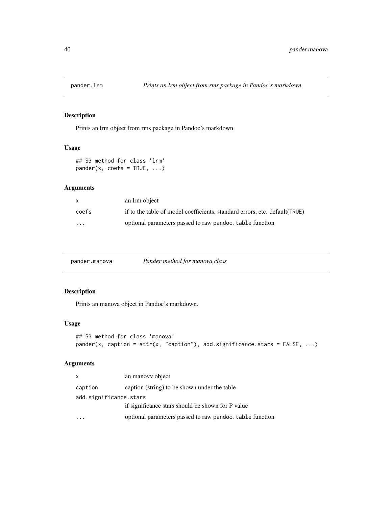Prints an lrm object from rms package in Pandoc's markdown.

# Usage

```
## S3 method for class 'lrm'
pander(x, coefs = TRUE, ...)
```
### Arguments

| $\mathsf{x}$ | an lrm object                                                               |
|--------------|-----------------------------------------------------------------------------|
| coefs        | if to the table of model coefficients, standard errors, etc. default (TRUE) |
| $\cdots$     | optional parameters passed to raw pandoc, table function                    |

pander.manova *Pander method for manova class*

## Description

Prints an manova object in Pandoc's markdown.

## Usage

```
## S3 method for class 'manova'
pander(x, caption = attr(x, "caption"), add.significance.stars = FALSE, ...)
```

| $\mathsf{x}$           | an manovy object                                         |
|------------------------|----------------------------------------------------------|
| caption                | caption (string) to be shown under the table             |
| add.significance.stars |                                                          |
|                        | if significance stars should be shown for P value        |
|                        | optional parameters passed to raw pandoc. table function |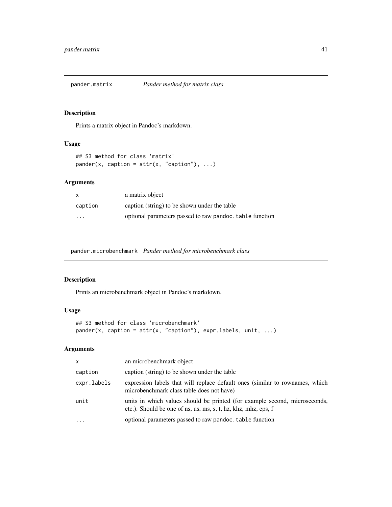Prints a matrix object in Pandoc's markdown.

## Usage

```
## S3 method for class 'matrix'
pander(x, caption = attr(x, "caption"), ...)
```
## Arguments

| X        | a matrix object                                          |
|----------|----------------------------------------------------------|
| caption  | caption (string) to be shown under the table             |
| $\cdots$ | optional parameters passed to raw pandoc. table function |

pander.microbenchmark *Pander method for microbenchmark class*

## Description

Prints an microbenchmark object in Pandoc's markdown.

## Usage

```
## S3 method for class 'microbenchmark'
pander(x, caption = attr(x, "caption"), expr.labels, unit, ...)
```

| $\mathsf{x}$ | an microbenchmark object                                                                                                                     |
|--------------|----------------------------------------------------------------------------------------------------------------------------------------------|
| caption      | caption (string) to be shown under the table                                                                                                 |
| expr.labels  | expression labels that will replace default ones (similar to rownames, which<br>microbenchmark class table does not have)                    |
| unit         | units in which values should be printed (for example second, microseconds,<br>etc.). Should be one of ns, us, ms, s, t, hz, khz, mhz, eps, f |
| $\ddotsc$    | optional parameters passed to raw pandoc. table function                                                                                     |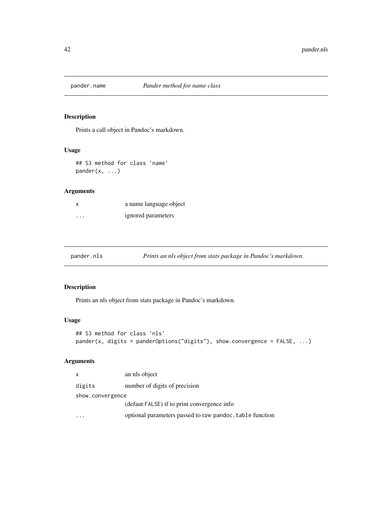Prints a call object in Pandoc's markdown.

## Usage

## S3 method for class 'name' pander(x, ...)

## Arguments

|          | a name language object |
|----------|------------------------|
| $\cdots$ | ignored parameters     |

| pander.nls |  | Prints an nls object from stats package in Pandoc's markdown. |
|------------|--|---------------------------------------------------------------|
|            |  |                                                               |

# Description

Prints an nls object from stats package in Pandoc's markdown.

## Usage

```
## S3 method for class 'nls'
pander(x, digits = panderOptions("digits"), show.convergence = FALSE, ...)
```

| X                | an nls object                                            |
|------------------|----------------------------------------------------------|
| digits           | number of digits of precision                            |
| show.convergence |                                                          |
|                  | (defaut:FALSE) if to print convergence info              |
|                  | optional parameters passed to raw pandoc. table function |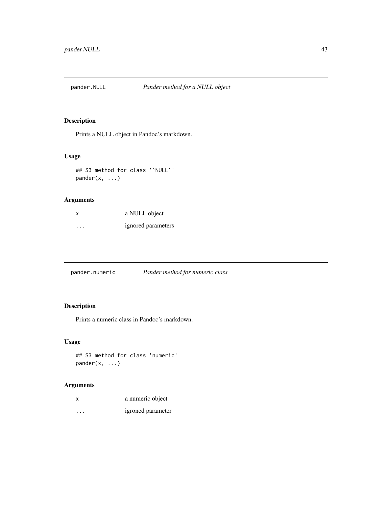Prints a NULL object in Pandoc's markdown.

## Usage

## S3 method for class '`NULL`' pander(x, ...)

## Arguments

| x        | a NULL object      |
|----------|--------------------|
| $\cdots$ | ignored parameters |

pander.numeric *Pander method for numeric class*

# Description

Prints a numeric class in Pandoc's markdown.

## Usage

## S3 method for class 'numeric'  $pander(x, \ldots)$ 

| X        | a numeric object  |
|----------|-------------------|
| $\cdots$ | igroned parameter |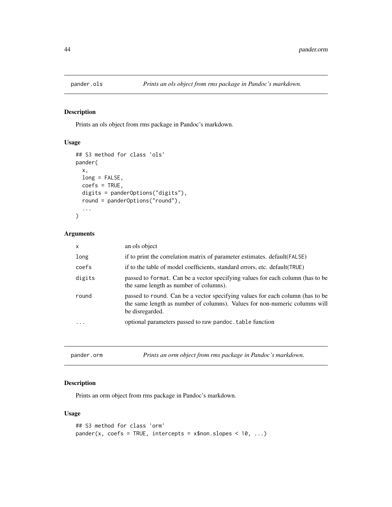Prints an ols object from rms package in Pandoc's markdown.

## Usage

```
## S3 method for class 'ols'
pander(
  x,
 long = FALSE,
  coefs = TRUE,
 digits = panderOptions("digits"),
  round = panderOptions("round"),
  ...
)
```
## Arguments

| x                       | an ols object                                                                                                                                                                  |
|-------------------------|--------------------------------------------------------------------------------------------------------------------------------------------------------------------------------|
| long                    | if to print the correlation matrix of parameter estimates. default (FALSE)                                                                                                     |
| coefs                   | if to the table of model coefficients, standard errors, etc. default (TRUE)                                                                                                    |
| digits                  | passed to format. Can be a vector specifying values for each column (has to be<br>the same length as number of columns).                                                       |
| round                   | passed to round. Can be a vector specifying values for each column (has to be<br>the same length as number of columns). Values for non-numeric columns will<br>be disregarded. |
| $\cdot$ $\cdot$ $\cdot$ | optional parameters passed to raw pandoc. table function                                                                                                                       |
|                         |                                                                                                                                                                                |

pander.orm *Prints an orm object from rms package in Pandoc's markdown.*

## Description

Prints an orm object from rms package in Pandoc's markdown.

#### Usage

```
## S3 method for class 'orm'
pander(x, coefs = TRUE, intercepts = x$non.slopes < 10, ...)
```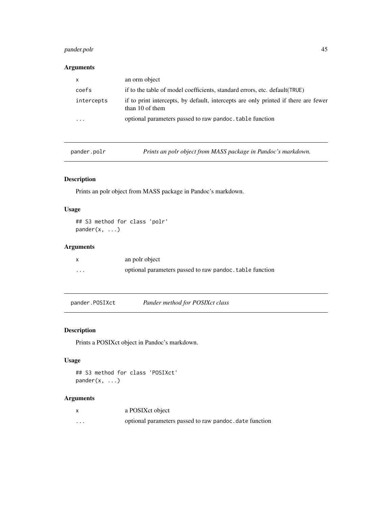## pander.polr 45

## Arguments

| $\mathsf{X}$ | an orm object                                                                                         |
|--------------|-------------------------------------------------------------------------------------------------------|
| coefs        | if to the table of model coefficients, standard errors, etc. default (TRUE)                           |
| intercepts   | if to print intercepts, by default, intercepts are only printed if there are fewer<br>than 10 of them |
| .            | optional parameters passed to raw pandoc. table function                                              |

pander.polr *Prints an polr object from MASS package in Pandoc's markdown.*

# Description

Prints an polr object from MASS package in Pandoc's markdown.

# Usage

## S3 method for class 'polr'  $pander(x, \ldots)$ 

## Arguments

|         | an polr object                                           |
|---------|----------------------------------------------------------|
| $\cdot$ | optional parameters passed to raw pandoc. table function |

pander.POSIXct *Pander method for POSIXct class*

## Description

Prints a POSIXct object in Pandoc's markdown.

### Usage

```
## S3 method for class 'POSIXct'
pander(x, ...)
```

|   | a POSIX ct object                                       |
|---|---------------------------------------------------------|
| . | optional parameters passed to raw pandoc. date function |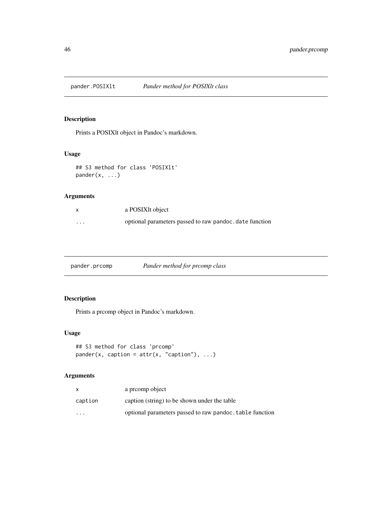Prints a POSIXlt object in Pandoc's markdown.

## Usage

## S3 method for class 'POSIXlt' pander(x, ...)

## Arguments

|         | a POSIX <sub>I</sub> t object                           |
|---------|---------------------------------------------------------|
| $\cdot$ | optional parameters passed to raw pandoc, date function |

pander.prcomp *Pander method for prcomp class*

## Description

Prints a prcomp object in Pandoc's markdown.

## Usage

```
## S3 method for class 'prcomp'
pander(x, caption = attr(x, "caption"), ...)
```

|          | a preomp object                                          |
|----------|----------------------------------------------------------|
| caption  | caption (string) to be shown under the table             |
| $\cdots$ | optional parameters passed to raw pandoc. table function |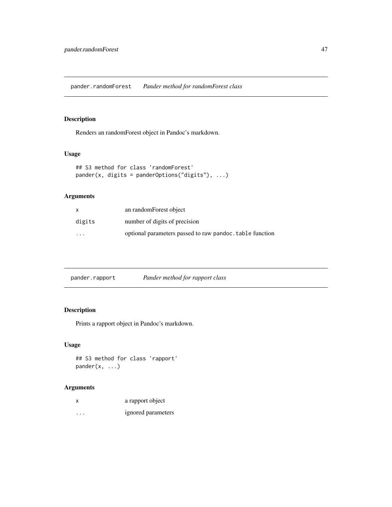pander.randomForest *Pander method for randomForest class*

## Description

Renders an randomForest object in Pandoc's markdown.

## Usage

```
## S3 method for class 'randomForest'
pander(x, digits = panderOptions("digits"), ...)
```
## Arguments

| x                       | an randomForest object                                   |
|-------------------------|----------------------------------------------------------|
| digits                  | number of digits of precision                            |
| $\cdot$ $\cdot$ $\cdot$ | optional parameters passed to raw pandoc, table function |

| pander.rapport | Pander method for rapport class |
|----------------|---------------------------------|
|                |                                 |

# Description

Prints a rapport object in Pandoc's markdown.

## Usage

## S3 method for class 'rapport' pander(x, ...)

| x                       | a rapport object   |
|-------------------------|--------------------|
| $\cdot$ $\cdot$ $\cdot$ | ignored parameters |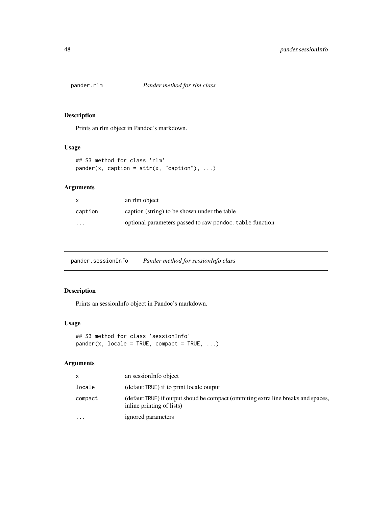Prints an rlm object in Pandoc's markdown.

# Usage

```
## S3 method for class 'rlm'
pander(x, caption = attr(x, "caption"), ...)
```
## Arguments

| X       | an rlm object                                            |
|---------|----------------------------------------------------------|
| caption | caption (string) to be shown under the table             |
| .       | optional parameters passed to raw pandoc, table function |

pander.sessionInfo *Pander method for sessionInfo class*

## Description

Prints an sessionInfo object in Pandoc's markdown.

## Usage

```
## S3 method for class 'sessionInfo'
pander(x, locale = TRUE, compact = TRUE, ...)
```

|          | an sessionInfo object                                                                                          |
|----------|----------------------------------------------------------------------------------------------------------------|
| locale   | (defaut:TRUE) if to print locale output                                                                        |
| compact  | (defaut:TRUE) if output shoud be compact (ommiting extra line breaks and spaces,<br>in line printing of lists) |
| $\cdots$ | ignored parameters                                                                                             |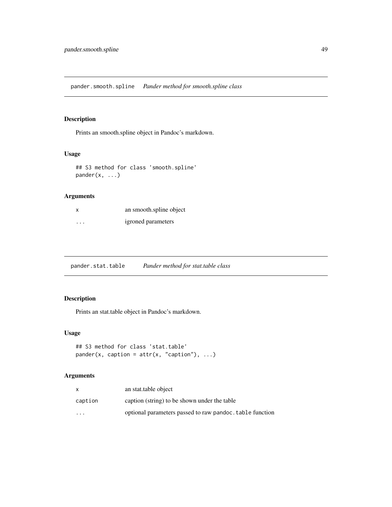pander.smooth.spline *Pander method for smooth.spline class*

## Description

Prints an smooth.spline object in Pandoc's markdown.

## Usage

## S3 method for class 'smooth.spline' pander(x, ...)

## Arguments

|                         | an smooth.spline object |
|-------------------------|-------------------------|
| $\cdot$ $\cdot$ $\cdot$ | igroned parameters      |

pander.stat.table *Pander method for stat.table class*

## Description

Prints an stat.table object in Pandoc's markdown.

## Usage

```
## S3 method for class 'stat.table'
pander(x, caption = attr(x, "caption"), ...)
```

|          | an stat.table object                                     |
|----------|----------------------------------------------------------|
| caption  | caption (string) to be shown under the table             |
| $\cdots$ | optional parameters passed to raw pandoc. table function |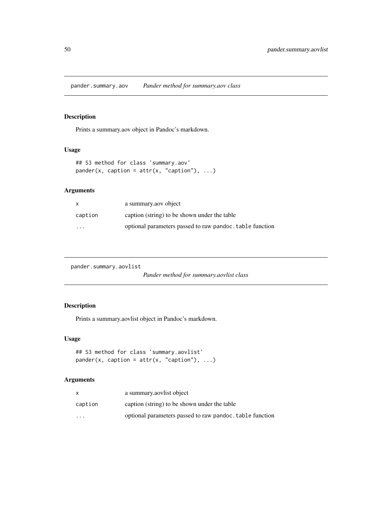pander.summary.aov *Pander method for summary.aov class*

### Description

Prints a summary.aov object in Pandoc's markdown.

### Usage

```
## S3 method for class 'summary.aov'
pander(x, caption = attr(x, "caption"), ...)
```
## Arguments

| X       | a summary aov object                                     |
|---------|----------------------------------------------------------|
| caption | caption (string) to be shown under the table             |
| $\cdot$ | optional parameters passed to raw pandoc, table function |

pander.summary.aovlist

*Pander method for summary.aovlist class*

## Description

Prints a summary.aovlist object in Pandoc's markdown.

#### Usage

```
## S3 method for class 'summary.aovlist'
pander(x, caption = attr(x, "caption"), ...)
```

| x                       | a summary as a summary as a solice of                    |
|-------------------------|----------------------------------------------------------|
| caption                 | caption (string) to be shown under the table             |
| $\cdot$ $\cdot$ $\cdot$ | optional parameters passed to raw pandoc, table function |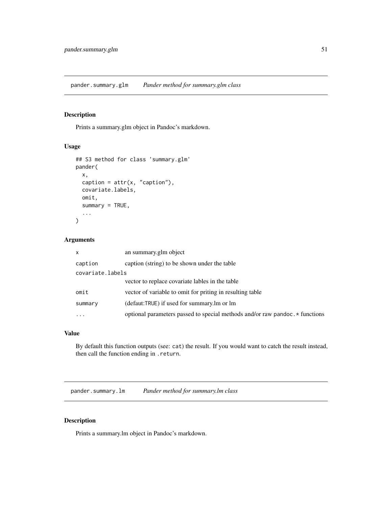pander.summary.glm *Pander method for summary.glm class*

# Description

Prints a summary.glm object in Pandoc's markdown.

#### Usage

```
## S3 method for class 'summary.glm'
pander(
  x,
  caption = attr(x, "caption"),
 covariate.labels,
 omit,
  summary = TRUE,
  ...
)
```
## Arguments

| $\mathsf{x}$     | an summary.glm object                                                        |  |
|------------------|------------------------------------------------------------------------------|--|
| caption          | caption (string) to be shown under the table                                 |  |
| covariate.labels |                                                                              |  |
|                  | vector to replace covariate lables in the table                              |  |
| omit             | vector of variable to omit for priting in resulting table                    |  |
| summary          | (defaut:TRUE) if used for summary.lm or lm                                   |  |
| $\ddotsc$        | optional parameters passed to special methods and/or raw pandoc. * functions |  |
|                  |                                                                              |  |

### Value

By default this function outputs (see: cat) the result. If you would want to catch the result instead, then call the function ending in .return.

pander.summary.lm *Pander method for summary.lm class*

## Description

Prints a summary.lm object in Pandoc's markdown.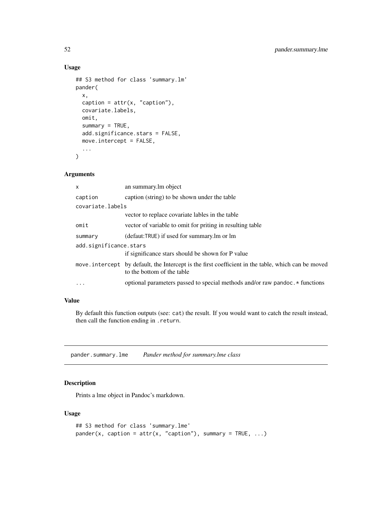## Usage

```
## S3 method for class 'summary.lm'
pander(
  x,
  caption = attr(x, "caption"),
  covariate.labels,
  omit,
  summary = TRUE,
  add.significance.stars = FALSE,
 move.intercept = FALSE,
  ...
)
```
#### Arguments

| $\mathsf{x}$           | an summary. Im object                                                                                                            |  |
|------------------------|----------------------------------------------------------------------------------------------------------------------------------|--|
| caption                | caption (string) to be shown under the table                                                                                     |  |
| covariate.labels       |                                                                                                                                  |  |
|                        | vector to replace covariate lables in the table                                                                                  |  |
| omit                   | vector of variable to omit for priting in resulting table                                                                        |  |
| summary                | (defaut:TRUE) if used for summary.lm or lm                                                                                       |  |
| add.significance.stars |                                                                                                                                  |  |
|                        | if significance stars should be shown for P value                                                                                |  |
|                        | move intercept by default, the Intercept is the first coefficient in the table, which can be moved<br>to the bottom of the table |  |
| $\ddots$               | optional parameters passed to special methods and/or raw pandoc. * functions                                                     |  |
|                        |                                                                                                                                  |  |

## Value

By default this function outputs (see: cat) the result. If you would want to catch the result instead, then call the function ending in .return.

pander.summary.lme *Pander method for summary.lme class*

## Description

Prints a lme object in Pandoc's markdown.

## Usage

```
## S3 method for class 'summary.lme'
pander(x, caption = attr(x, "caption"), summary = TRUE, \dots)
```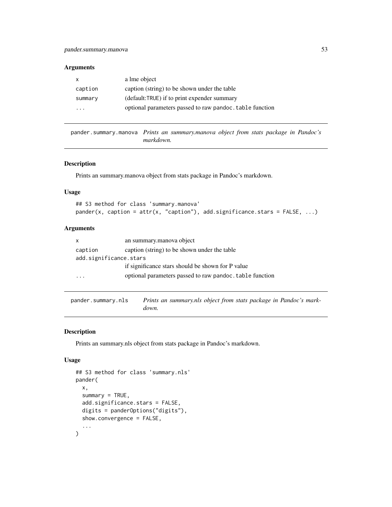#### Arguments

| x                       | a lme object                                             |
|-------------------------|----------------------------------------------------------|
| caption                 | caption (string) to be shown under the table             |
| summary                 | (default:TRUE) if to print expender summary              |
| $\cdot$ $\cdot$ $\cdot$ | optional parameters passed to raw pandoc. table function |

pander.summary.manova *Prints an summary.manova object from stats package in Pandoc's markdown.*

#### Description

Prints an summary.manova object from stats package in Pandoc's markdown.

#### Usage

```
## S3 method for class 'summary.manova'
pander(x, caption = attr(x, "caption"), add.significance.stars = FALSE, ...)
```
## Arguments

| x                      | an summary manova object                                 |
|------------------------|----------------------------------------------------------|
| caption                | caption (string) to be shown under the table             |
| add.significance.stars |                                                          |
|                        | if significance stars should be shown for P value        |
| $\cdot$                | optional parameters passed to raw pandoc. table function |

pander.summary.nls *Prints an summary.nls object from stats package in Pandoc's markdown.*

## Description

Prints an summary.nls object from stats package in Pandoc's markdown.

#### Usage

```
## S3 method for class 'summary.nls'
pander(
  x,
  summary = TRUE,
  add.significance.stars = FALSE,
  digits = panderOptions("digits"),
  show.convergence = FALSE,
  ...
\mathcal{E}
```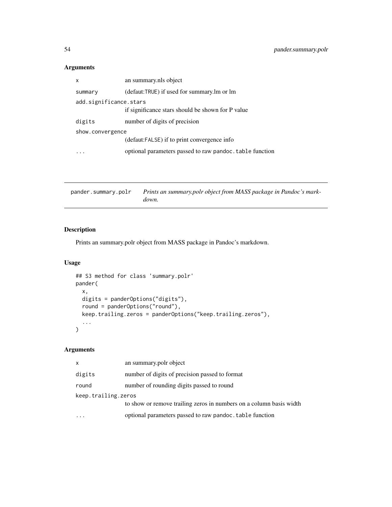# Arguments

| x                      | an summary.nls object                                    |  |
|------------------------|----------------------------------------------------------|--|
| summary                | (defaut:TRUE) if used for summary.lm or lm               |  |
| add.significance.stars |                                                          |  |
|                        | if significance stars should be shown for P value        |  |
| digits                 | number of digits of precision                            |  |
| show.convergence       |                                                          |  |
|                        | (defaut:FALSE) if to print convergence info              |  |
|                        | optional parameters passed to raw pandoc. table function |  |
|                        |                                                          |  |

| pander.summary.polr | Prints an summary.polr object from MASS package in Pandoc's mark- |
|---------------------|-------------------------------------------------------------------|
|                     | down.                                                             |

# Description

Prints an summary.polr object from MASS package in Pandoc's markdown.

## Usage

```
## S3 method for class 'summary.polr'
pander(
 x,
 digits = panderOptions("digits"),
 round = panderOptions("round"),
 keep.trailing.zeros = panderOptions("keep.trailing.zeros"),
  ...
\mathcal{L}
```

| x                   | an summary.polr object                                              |  |
|---------------------|---------------------------------------------------------------------|--|
| digits              | number of digits of precision passed to format                      |  |
| round               | number of rounding digits passed to round                           |  |
| keep.trailing.zeros |                                                                     |  |
|                     | to show or remove trailing zeros in numbers on a column basis width |  |
|                     | optional parameters passed to raw pandoc. table function            |  |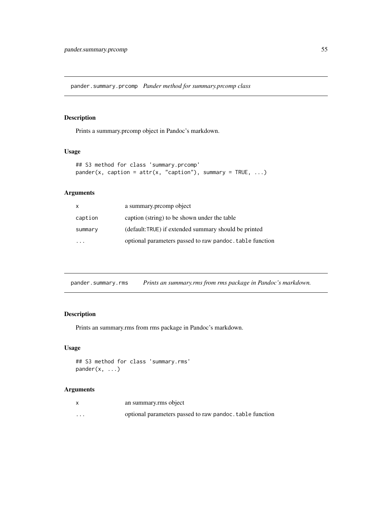pander.summary.prcomp *Pander method for summary.prcomp class*

### Description

Prints a summary.prcomp object in Pandoc's markdown.

### Usage

```
## S3 method for class 'summary.prcomp'
pander(x, caption = attr(x, "caption"), summary = TRUE, ...)
```
## Arguments

| $\mathsf{X}$ | a summary promp object                                   |
|--------------|----------------------------------------------------------|
| caption      | caption (string) to be shown under the table             |
| summary      | (default:TRUE) if extended summary should be printed     |
|              | optional parameters passed to raw pandoc. table function |

pander.summary.rms *Prints an summary.rms from rms package in Pandoc's markdown.*

### Description

Prints an summary.rms from rms package in Pandoc's markdown.

#### Usage

```
## S3 method for class 'summary.rms'
pander(x, ...)
```

|         | an summary.rms object                                    |
|---------|----------------------------------------------------------|
| $\cdot$ | optional parameters passed to raw pandoc, table function |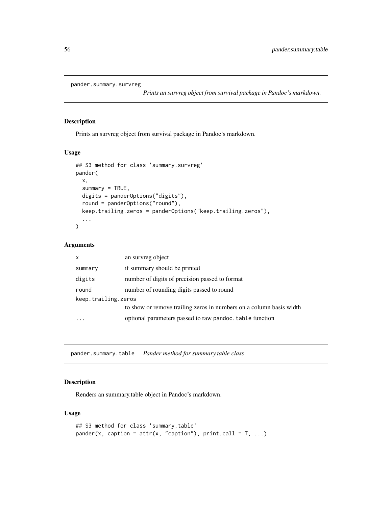```
pander.summary.survreg
```
*Prints an survreg object from survival package in Pandoc's markdown.*

#### Description

Prints an survreg object from survival package in Pandoc's markdown.

## Usage

```
## S3 method for class 'summary.survreg'
pander(
  x,
  summary = TRUE,
  digits = panderOptions("digits"),
  round = panderOptions("round"),
 keep.trailing.zeros = panderOptions("keep.trailing.zeros"),
  ...
)
```
#### Arguments

| $\mathsf{x}$        | an survreg object                                                   |  |
|---------------------|---------------------------------------------------------------------|--|
| summary             | if summary should be printed                                        |  |
| digits              | number of digits of precision passed to format                      |  |
| round               | number of rounding digits passed to round                           |  |
| keep.trailing.zeros |                                                                     |  |
|                     | to show or remove trailing zeros in numbers on a column basis width |  |
|                     | optional parameters passed to raw pandoc. table function            |  |

pander.summary.table *Pander method for summary.table class*

## Description

Renders an summary.table object in Pandoc's markdown.

### Usage

```
## S3 method for class 'summary.table'
pander(x, caption = attr(x, "caption"), print.call = T, ...)
```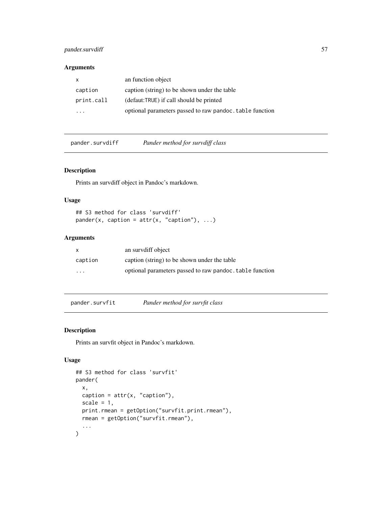## pander.survdiff 57

### Arguments

| x                       | an function object                                       |
|-------------------------|----------------------------------------------------------|
| caption                 | caption (string) to be shown under the table             |
| print.call              | (defaut:TRUE) if call should be printed                  |
| $\cdot$ $\cdot$ $\cdot$ | optional parameters passed to raw pandoc, table function |

pander.survdiff *Pander method for survdiff class*

### Description

Prints an survdiff object in Pandoc's markdown.

## Usage

## S3 method for class 'survdiff'  $pander(x, caption = attr(x, "caption"), ...)$ 

## Arguments

| $\mathsf{x}$         | an survdiff object                                       |
|----------------------|----------------------------------------------------------|
| caption              | caption (string) to be shown under the table             |
| $\ddot{\phantom{0}}$ | optional parameters passed to raw pandoc, table function |

pander.survfit *Pander method for survfit class*

## Description

Prints an survfit object in Pandoc's markdown.

### Usage

```
## S3 method for class 'survfit'
pander(
 x,
 caption = attr(x, "caption"),
 scale = 1,
 print.rmean = getOption("survfit.print.rmean"),
 rmean = getOption("survfit.rmean"),
  ...
\mathcal{E}
```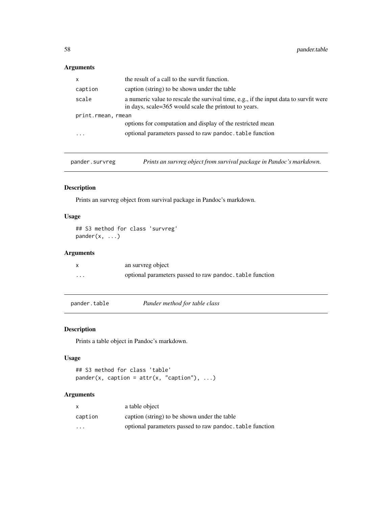## Arguments

| X                  | the result of a call to the survfit function.                                                                                                  |  |
|--------------------|------------------------------------------------------------------------------------------------------------------------------------------------|--|
| caption            | caption (string) to be shown under the table                                                                                                   |  |
| scale              | a numeric value to rescale the survival time, e.g., if the input data to survfit were<br>in days, scale=365 would scale the printout to years. |  |
| print.rmean, rmean |                                                                                                                                                |  |
|                    | options for computation and display of the restricted mean                                                                                     |  |
| .                  | optional parameters passed to raw pandoc. table function                                                                                       |  |
|                    |                                                                                                                                                |  |

pander.survreg *Prints an survreg object from survival package in Pandoc's markdown.*

### Description

Prints an survreg object from survival package in Pandoc's markdown.

## Usage

```
## S3 method for class 'survreg'
pander(x, \ldots)
```
## Arguments

| X        | an survreg object                                        |
|----------|----------------------------------------------------------|
| $\cdots$ | optional parameters passed to raw pandoc. table function |

pander.table *Pander method for table class*

# Description

Prints a table object in Pandoc's markdown.

### Usage

## S3 method for class 'table'  $pander(x, caption = attr(x, "caption"), ...)$ 

|                         | a table object                                           |
|-------------------------|----------------------------------------------------------|
| caption                 | caption (string) to be shown under the table             |
| $\cdot$ $\cdot$ $\cdot$ | optional parameters passed to raw pandoc, table function |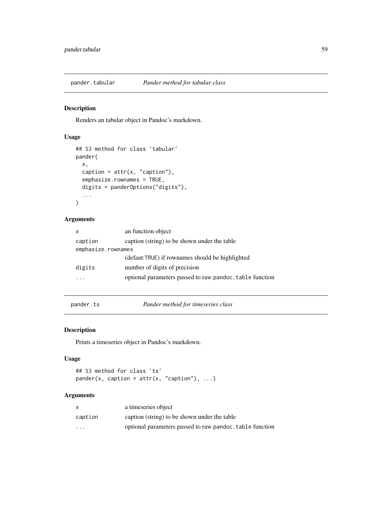Renders an tabular object in Pandoc's markdown.

## Usage

```
## S3 method for class 'tabular'
pander(
  x,
  caption = attr(x, "caption"),
  emphasize.rownames = TRUE,
  digits = panderOptions("digits"),
  ...
)
```
### Arguments

| X                  | an function object                                       |  |
|--------------------|----------------------------------------------------------|--|
| caption            | caption (string) to be shown under the table             |  |
| emphasize.rownames |                                                          |  |
|                    | (defaut:TRUE) if rownames should be highlighted          |  |
| digits             | number of digits of precision                            |  |
|                    | optional parameters passed to raw pandoc. table function |  |
|                    |                                                          |  |

pander.ts *Pander method for timeseries class*

## Description

Prints a timeseries object in Pandoc's markdown.

## Usage

## S3 method for class 'ts'  $pander(x, caption = attr(x, "caption"), ...)$ 

| X       | a timeseries object                                      |
|---------|----------------------------------------------------------|
| caption | caption (string) to be shown under the table             |
| .       | optional parameters passed to raw pandoc. table function |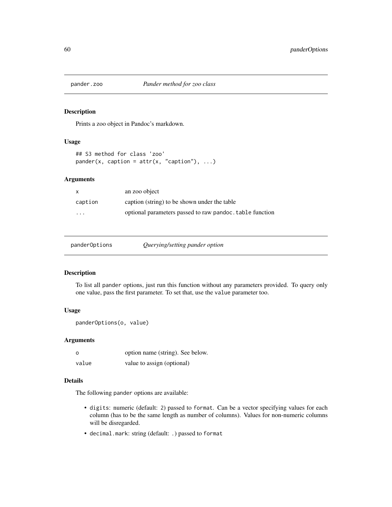Prints a zoo object in Pandoc's markdown.

### Usage

```
## S3 method for class 'zoo'
pander(x, caption = attr(x, "caption"), ...)
```
## Arguments

| $\mathsf{x}$            | an zoo object                                            |
|-------------------------|----------------------------------------------------------|
| caption                 | caption (string) to be shown under the table             |
| $\cdot$ $\cdot$ $\cdot$ | optional parameters passed to raw pandoc, table function |

| Querying/setting pander option<br>panderOptions |
|-------------------------------------------------|
|-------------------------------------------------|

## Description

To list all pander options, just run this function without any parameters provided. To query only one value, pass the first parameter. To set that, use the value parameter too.

#### Usage

```
panderOptions(o, value)
```
#### Arguments

| $\circ$ | option name (string). See below. |
|---------|----------------------------------|
| value   | value to assign (optional)       |

### Details

The following pander options are available:

- digits: numeric (default: 2) passed to format. Can be a vector specifying values for each column (has to be the same length as number of columns). Values for non-numeric columns will be disregarded.
- decimal.mark: string (default: .) passed to format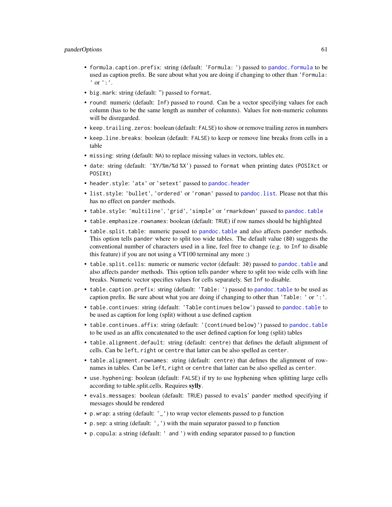#### panderOptions 61

- formula.caption.prefix: string (default: 'Formula: ') passed to [pandoc.formula](#page-70-0) to be used as caption prefix. Be sure about what you are doing if changing to other than 'Formula: ' or ':'.
- big.mark: string (default: ") passed to format.
- round: numeric (default: Inf) passed to round. Can be a vector specifying values for each column (has to be the same length as number of columns). Values for non-numeric columns will be disregarded.
- keep.trailing.zeros: boolean (default: FALSE) to show or remove trailing zeros in numbers
- keep.line.breaks: boolean (default: FALSE) to keep or remove line breaks from cells in a table
- missing: string (default: NA) to replace missing values in vectors, tables etc.
- date: string (default: '%Y/%m/%d %X') passed to format when printing dates (POSIXct or POSIXt)
- header.style: 'atx' or 'setext' passed to [pandoc.header](#page-71-0)
- list.style: 'bullet', 'ordered' or 'roman' passed to [pandoc.list](#page-74-0). Please not that this has no effect on pander methods.
- table.style: 'multiline', 'grid', 'simple' or 'rmarkdown' passed to [pandoc.table](#page-77-0)
- table.emphasize.rownames: boolean (default: TRUE) if row names should be highlighted
- table.split.table: numeric passed to [pandoc.table](#page-77-0) and also affects pander methods. This option tells pander where to split too wide tables. The default value (80) suggests the conventional number of characters used in a line, feel free to change (e.g. to Inf to disable this feature) if you are not using a VT100 terminal any more :)
- table.split.cells: numeric or numeric vector (default: 30) passed to [pandoc.table](#page-77-0) and also affects pander methods. This option tells pander where to split too wide cells with line breaks. Numeric vector specifies values for cells separately. Set Inf to disable.
- table.caption.prefix: string (default: 'Table: ') passed to [pandoc.table](#page-77-0) to be used as caption prefix. Be sure about what you are doing if changing to other than 'Table: ' or ':'.
- table.continues: string (default: 'Table continues below') passed to [pandoc.table](#page-77-0) to be used as caption for long (split) without a use defined caption
- table.continues.affix: string (default: '(continued below)') passed to [pandoc.table](#page-77-0) to be used as an affix concatenated to the user defined caption for long (split) tables
- table.alignment.default: string (default: centre) that defines the default alignment of cells. Can be left, right or centre that latter can be also spelled as center.
- table.alignment.rownames: string (default: centre) that defines the alignment of rownames in tables. Can be left, right or centre that latter can be also spelled as center.
- use.hyphening: boolean (default: FALSE) if try to use hyphening when splitting large cells according to table.split.cells. Requires sylly.
- evals.messages: boolean (default: TRUE) passed to evals' pander method specifying if messages should be rendered
- p.wrap: a string (default: '\_') to wrap vector elements passed to p function
- p.sep: a string (default: ',') with the main separator passed to p function
- p.copula: a string (default: ' and ') with ending separator passed to p function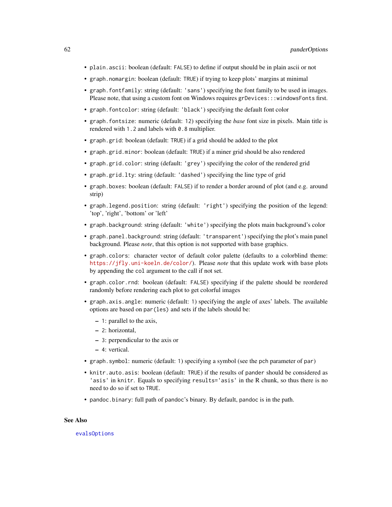- plain.ascii: boolean (default: FALSE) to define if output should be in plain ascii or not
- graph.nomargin: boolean (default: TRUE) if trying to keep plots' margins at minimal
- graph.fontfamily: string (default: 'sans') specifying the font family to be used in images. Please note, that using a custom font on Windows requires grDevices:::windowsFonts first.
- graph.fontcolor: string (default: 'black') specifying the default font color
- graph.fontsize: numeric (default: 12) specifying the *base* font size in pixels. Main title is rendered with 1.2 and labels with 0.8 multiplier.
- graph.grid: boolean (default: TRUE) if a grid should be added to the plot
- graph.grid.minor: boolean (default: TRUE) if a miner grid should be also rendered
- graph.grid.color: string (default: 'grey') specifying the color of the rendered grid
- graph.grid.lty: string (default: 'dashed') specifying the line type of grid
- graph.boxes: boolean (default: FALSE) if to render a border around of plot (and e.g. around strip)
- graph.legend.position: string (default: 'right') specifying the position of the legend: 'top', 'right', 'bottom' or 'left'
- graph.background: string (default: 'white') specifying the plots main background's color
- graph.panel.background: string (default: 'transparent') specifying the plot's main panel background. Please *note*, that this option is not supported with base graphics.
- graph.colors: character vector of default color palette (defaults to a colorblind theme: <https://jfly.uni-koeln.de/color/>). Please *note* that this update work with base plots by appending the col argument to the call if not set.
- graph.color.rnd: boolean (default: FALSE) specifying if the palette should be reordered randomly before rendering each plot to get colorful images
- graph.axis.angle: numeric (default: 1) specifying the angle of axes' labels. The available options are based on par(les) and sets if the labels should be:
	- 1: parallel to the axis,
	- 2: horizontal,
	- 3: perpendicular to the axis or
	- 4: vertical.
- graph.symbol: numeric (default: 1) specifying a symbol (see the pch parameter of par)
- knitr.auto.asis: boolean (default: TRUE) if the results of pander should be considered as 'asis' in knitr. Equals to specifying results='asis' in the R chunk, so thus there is no need to do so if set to TRUE.
- pandoc.binary: full path of pandoc's binary. By default, pandoc is in the path.

#### See Also

[evalsOptions](#page-16-0)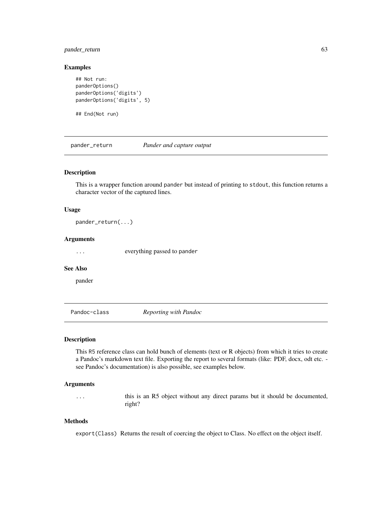## pander\_return 63

#### Examples

```
## Not run:
panderOptions()
panderOptions('digits')
panderOptions('digits', 5)
```
## End(Not run)

pander\_return *Pander and capture output*

## Description

This is a wrapper function around pander but instead of printing to stdout, this function returns a character vector of the captured lines.

#### Usage

pander\_return(...)

### Arguments

... everything passed to pander

#### See Also

pander

Pandoc-class *Reporting with Pandoc*

#### Description

This R5 reference class can hold bunch of elements (text or R objects) from which it tries to create a Pandoc's markdown text file. Exporting the report to several formats (like: PDF, docx, odt etc. see Pandoc's documentation) is also possible, see examples below.

#### Arguments

... this is an R5 object without any direct params but it should be documented, right?

## Methods

export(Class) Returns the result of coercing the object to Class. No effect on the object itself.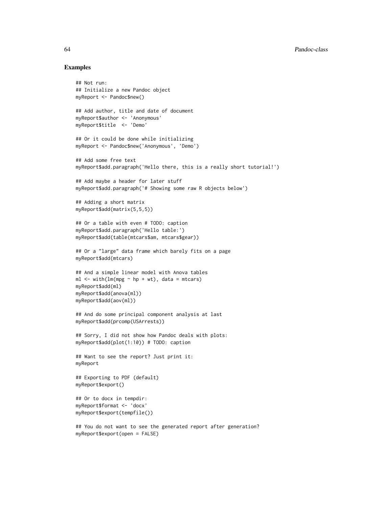#### Examples

```
## Not run:
## Initialize a new Pandoc object
myReport <- Pandoc$new()
## Add author, title and date of document
myReport$author <- 'Anonymous'
myReport$title <- 'Demo'
## Or it could be done while initializing
myReport <- Pandoc$new('Anonymous', 'Demo')
## Add some free text
myReport$add.paragraph('Hello there, this is a really short tutorial!')
## Add maybe a header for later stuff
myReport$add.paragraph('# Showing some raw R objects below')
## Adding a short matrix
myReport$add(matrix(5,5,5))
## Or a table with even # TODO: caption
myReport$add.paragraph('Hello table:')
myReport$add(table(mtcars$am, mtcars$gear))
## Or a "large" data frame which barely fits on a page
myReport$add(mtcars)
## And a simple linear model with Anova tables
ml \leq with(lm(mpg \sim hp + wt), data = mtcars)myReport$add(ml)
myReport$add(anova(ml))
myReport$add(aov(ml))
## And do some principal component analysis at last
myReport$add(prcomp(USArrests))
## Sorry, I did not show how Pandoc deals with plots:
myReport$add(plot(1:10)) # TODO: caption
## Want to see the report? Just print it:
myReport
## Exporting to PDF (default)
myReport$export()
## Or to docx in tempdir:
myReport$format <- 'docx'
myReport$export(tempfile())
## You do not want to see the generated report after generation?
myReport$export(open = FALSE)
```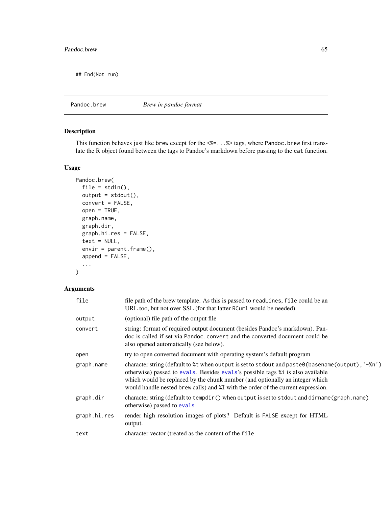## End(Not run)

Pandoc.brew *Brew in pandoc format*

# Description

This function behaves just like brew except for the <%=...%> tags, where Pandoc.brew first translate the R object found between the tags to Pandoc's markdown before passing to the cat function.

## Usage

```
Pandoc.brew(
  file = stdin(),output = stdout(),
  convert = FALSE,open = TRUE,graph.name,
  graph.dir,
 graph.hi.res = FALSE,
  text = NULL,envir = parent.frame(),
  append = FALSE,
  ...
\mathcal{L}
```

| file         | file path of the brew template. As this is passed to readLines, file could be an<br>URL too, but not over SSL (for that latter RCurl would be needed).                                                                                                                                                                                                 |
|--------------|--------------------------------------------------------------------------------------------------------------------------------------------------------------------------------------------------------------------------------------------------------------------------------------------------------------------------------------------------------|
| output       | (optional) file path of the output file                                                                                                                                                                                                                                                                                                                |
| convert      | string: format of required output document (besides Pandoc's markdown). Pan-<br>doc is called if set via Pandoc, convert and the converted document could be<br>also opened automatically (see below).                                                                                                                                                 |
| open         | try to open converted document with operating system's default program                                                                                                                                                                                                                                                                                 |
| graph.name   | character string (default to %t when output is set to stdout and paste0(basename(output), '-%n')<br>otherwise) passed to evals. Besides evals's possible tags %1 is also available<br>which would be replaced by the chunk number (and optionally an integer which<br>would handle nested brew calls) and %I with the order of the current expression. |
| graph.dir    | character string (default to tempdir () when output is set to stdout and dirname (graph.name)<br>otherwise) passed to evals                                                                                                                                                                                                                            |
| graph.hi.res | render high resolution images of plots? Default is FALSE except for HTML<br>output.                                                                                                                                                                                                                                                                    |
| text         | character vector (treated as the content of the file                                                                                                                                                                                                                                                                                                   |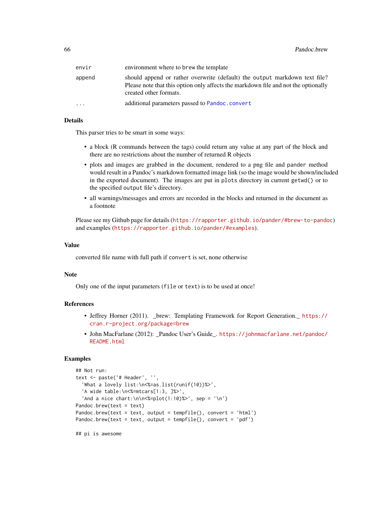| envir  | environment where to brew the template                                                                                                                                                     |
|--------|--------------------------------------------------------------------------------------------------------------------------------------------------------------------------------------------|
| append | should append or rather overwrite (default) the output markdown text file?<br>Please note that this option only affects the markdown file and not the optionally<br>created other formats. |
| .      | additional parameters passed to Pandoc.convert                                                                                                                                             |

## Details

This parser tries to be smart in some ways:

- a block (R commands between the tags) could return any value at any part of the block and there are no restrictions about the number of returned R objects
- plots and images are grabbed in the document, rendered to a png file and pander method would result in a Pandoc's markdown formatted image link (so the image would be shown/included in the exported document). The images are put in plots directory in current getwd() or to the specified output file's directory.
- all warnings/messages and errors are recorded in the blocks and returned in the document as a footnote

Please see my Github page for details (<https://rapporter.github.io/pander/#brew-to-pandoc>) and examples (<https://rapporter.github.io/pander/#examples>).

#### Value

converted file name with full path if convert is set, none otherwise

### Note

Only one of the input parameters (file or text) is to be used at once!

### References

- Jeffrey Horner (2011). \_brew: Templating Framework for Report Generation.\_ [https://](https://cran.r-project.org/package=brew) [cran.r-project.org/package=brew](https://cran.r-project.org/package=brew)
- John MacFarlane (2012): \_Pandoc User's Guide\_. [https://johnmacfarlane.net/pandoc/](https://johnmacfarlane.net/pandoc/README.html) [README.html](https://johnmacfarlane.net/pandoc/README.html)

## Examples

```
## Not run:
text <- paste('# Header', '',
  'What a lovely list:\n<%=as.list(runif(10))%>',
  'A wide table:\n<%=mtcars[1:3, ]%>',
  'And a nice chart:\n\n<%=plot(1:10)%>', sep = '\n')
Pandoc.brew(text = text)
Pandoc.brew(text = text, output = tempfile(), convert = 'html')
Pandoc.brew(text = text, output = tempfile(), convert = 'pdf')
```
## pi is awesome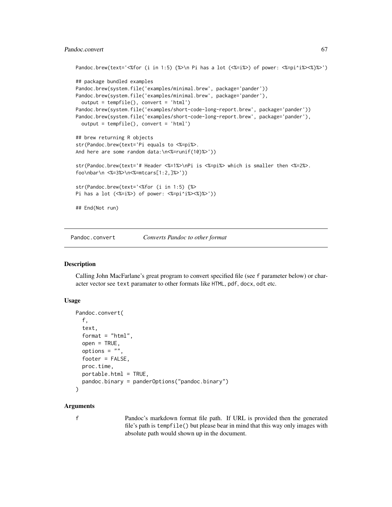## Pandoc.convert 67

```
Pandoc.brew(text='<%for (i in 1:5) {%>\n Pi has a lot (<%=i%>) of power: <%=pi^i%><%}%>')
## package bundled examples
Pandoc.brew(system.file('examples/minimal.brew', package='pander'))
Pandoc.brew(system.file('examples/minimal.brew', package='pander'),
 output = tempfile(), convert = 'html')
Pandoc.brew(system.file('examples/short-code-long-report.brew', package='pander'))
Pandoc.brew(system.file('examples/short-code-long-report.brew', package='pander'),
 output = tempfile(), convert = 'html')
## brew returning R objects
str(Pandoc.brew(text='Pi equals to <%=pi%>.
And here are some random data:\n<%=runif(10)%>'))
str(Pandoc.brew(text='# Header <%=1%>\nPi is <%=pi%> which is smaller then <%=2%>.
foo\nbar\n <%=3%>\n<%=mtcars[1:2,]%>'))
str(Pandoc.brew(text='<%for (i in 1:5) {%>
Pi has a lot (<%=i%>) of power: <%=pi^i%><%}%>'))
## End(Not run)
```
<span id="page-66-0"></span>Pandoc.convert *Converts Pandoc to other format*

## **Description**

Calling John MacFarlane's great program to convert specified file (see f parameter below) or character vector see text paramater to other formats like HTML, pdf, docx, odt etc.

#### Usage

```
Pandoc.convert(
  f,
  text,
  format = "html",
  open = TRUE,options = ",
  footer = FALSE,
 proc.time,
 portable.html = TRUE,
  pandoc.binary = panderOptions("pandoc.binary")
)
```
## Arguments

f Pandoc's markdown format file path. If URL is provided then the generated file's path is tempfile() but please bear in mind that this way only images with absolute path would shown up in the document.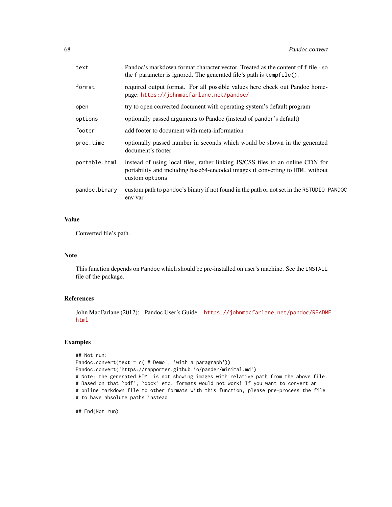| text          | Pandoc's markdown format character vector. Treated as the content of f file - so<br>the f parameter is ignored. The generated file's path is tempfile().                          |
|---------------|-----------------------------------------------------------------------------------------------------------------------------------------------------------------------------------|
| format        | required output format. For all possible values here check out Pandoc home-<br>page: https://johnmacfarlane.net/pandoc/                                                           |
| open          | try to open converted document with operating system's default program                                                                                                            |
| options       | optionally passed arguments to Pandoc (instead of pander's default)                                                                                                               |
| footer        | add footer to document with meta-information                                                                                                                                      |
| proc.time     | optionally passed number in seconds which would be shown in the generated<br>document's footer                                                                                    |
| portable.html | instead of using local files, rather linking JS/CSS files to an online CDN for<br>portability and including base64-encoded images if converting to HTML without<br>custom options |
| pandoc.binary | custom path to pandoc's binary if not found in the path or not set in the RSTUDIO_PANDOC<br>env var                                                                               |

## Value

Converted file's path.

## Note

This function depends on Pandoc which should be pre-installed on user's machine. See the INSTALL file of the package.

#### References

John MacFarlane (2012): \_Pandoc User's Guide\_. [https://johnmacfarlane.net/pandoc/README](https://johnmacfarlane.net/pandoc/README.html). [html](https://johnmacfarlane.net/pandoc/README.html)

## Examples

```
## Not run:
Pandoc.convert(text = c('# Demo', 'with a paragraph'))
Pandoc.convert('https://rapporter.github.io/pander/minimal.md')
# Note: the generated HTML is not showing images with relative path from the above file.
# Based on that `pdf`, `docx` etc. formats would not work! If you want to convert an
# online markdown file to other formats with this function, please pre-process the file
# to have absolute paths instead.
```
## End(Not run)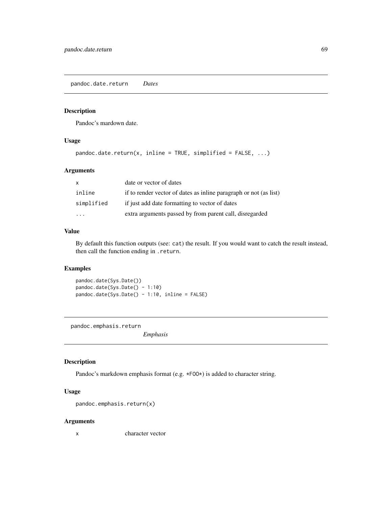pandoc.date.return *Dates*

## Description

Pandoc's mardown date.

## Usage

```
pandoc.date.return(x, inline = TRUE, simplified = FALSE, \ldots)
```
### Arguments

| $\mathsf{x}$ | date or vector of dates                                           |
|--------------|-------------------------------------------------------------------|
| inline       | if to render vector of dates as inline paragraph or not (as list) |
| simplified   | if just add date formatting to vector of dates                    |
| $\cdot$      | extra arguments passed by from parent call, disregarded           |

#### Value

By default this function outputs (see: cat) the result. If you would want to catch the result instead, then call the function ending in .return.

## Examples

pandoc.date(Sys.Date()) pandoc.date(Sys.Date() - 1:10) pandoc.date(Sys.Date() - 1:10, inline = FALSE)

pandoc.emphasis.return

*Emphasis*

#### Description

Pandoc's markdown emphasis format (e.g.  $*F00*$ ) is added to character string.

## Usage

```
pandoc.emphasis.return(x)
```
## Arguments

x character vector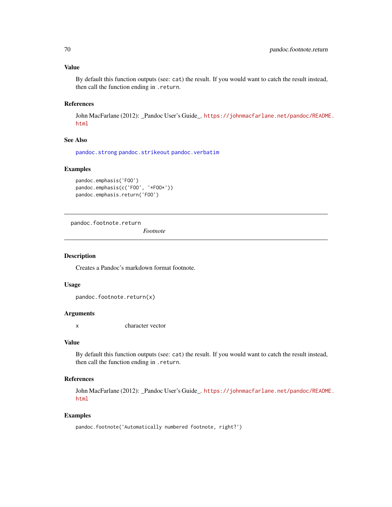#### Value

By default this function outputs (see: cat) the result. If you would want to catch the result instead, then call the function ending in .return.

## References

John MacFarlane (2012): \_Pandoc User's Guide\_. [https://johnmacfarlane.net/pandoc/README](https://johnmacfarlane.net/pandoc/README.html). [html](https://johnmacfarlane.net/pandoc/README.html)

#### See Also

[pandoc.strong](#page-77-1) [pandoc.strikeout](#page-76-0) [pandoc.verbatim](#page-83-0)

### Examples

```
pandoc.emphasis('FOO')
pandoc.emphasis(c('FOO', '*FOO*'))
pandoc.emphasis.return('FOO')
```
pandoc.footnote.return

*Footnote*

#### Description

Creates a Pandoc's markdown format footnote.

## Usage

pandoc.footnote.return(x)

#### Arguments

x character vector

### Value

By default this function outputs (see: cat) the result. If you would want to catch the result instead, then call the function ending in .return.

## References

John MacFarlane (2012): \_Pandoc User's Guide\_. [https://johnmacfarlane.net/pandoc/README](https://johnmacfarlane.net/pandoc/README.html). [html](https://johnmacfarlane.net/pandoc/README.html)

### Examples

pandoc.footnote('Automatically numbered footnote, right?')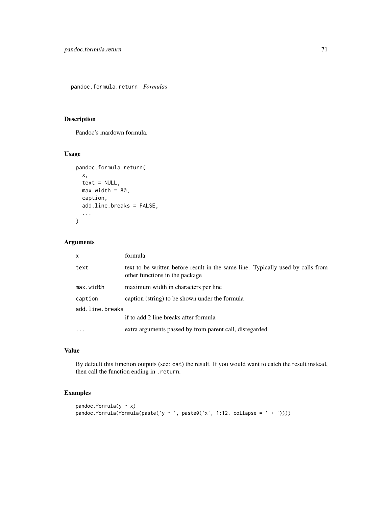<span id="page-70-0"></span>Pandoc's mardown formula.

## Usage

```
pandoc.formula.return(
  x,
  text = NULL,
  max.util = 80,
  caption,
  add.line.breaks = FALSE,
  ...
\mathcal{L}
```
## Arguments

| $\mathsf{x}$    | formula                                                                                                           |  |
|-----------------|-------------------------------------------------------------------------------------------------------------------|--|
| text            | text to be written before result in the same line. Typically used by calls from<br>other functions in the package |  |
| max.width       | maximum width in characters per line                                                                              |  |
| caption         | caption (string) to be shown under the formula                                                                    |  |
| add.line.breaks |                                                                                                                   |  |
|                 | if to add 2 line breaks after formula                                                                             |  |
|                 | extra arguments passed by from parent call, disregarded                                                           |  |

## Value

By default this function outputs (see: cat) the result. If you would want to catch the result instead, then call the function ending in .return.

## Examples

```
pandoc.formula(y \sim x)
pandoc.formula(formula(paste('y ~ ', paste0('x', 1:12, collapse = ' + '))))
```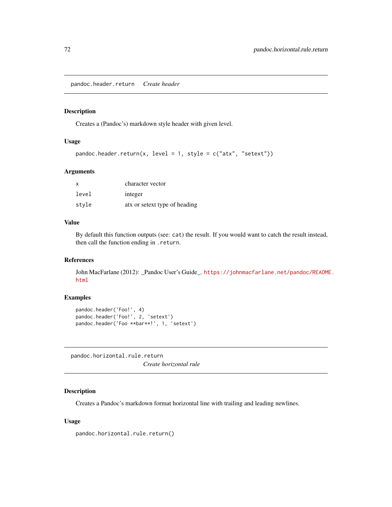pandoc.header.return *Create header*

#### <span id="page-71-0"></span>Description

Creates a (Pandoc's) markdown style header with given level.

## Usage

```
pandoc.header.return(x, level = 1, style = c("atx", "setext"))
```
#### Arguments

| X     | character vector              |
|-------|-------------------------------|
| level | integer                       |
| stvle | atx or setext type of heading |

# Value

By default this function outputs (see: cat) the result. If you would want to catch the result instead, then call the function ending in .return.

## References

John MacFarlane (2012): \_Pandoc User's Guide\_. [https://johnmacfarlane.net/pandoc/README](https://johnmacfarlane.net/pandoc/README.html). [html](https://johnmacfarlane.net/pandoc/README.html)

#### Examples

```
pandoc.header('Foo!', 4)
pandoc.header('Foo!', 2, 'setext')
pandoc.header('Foo **bar**!', 1, 'setext')
```
pandoc.horizontal.rule.return *Create horizontal rule*

## Description

Creates a Pandoc's markdown format horizontal line with trailing and leading newlines.

#### Usage

```
pandoc.horizontal.rule.return()
```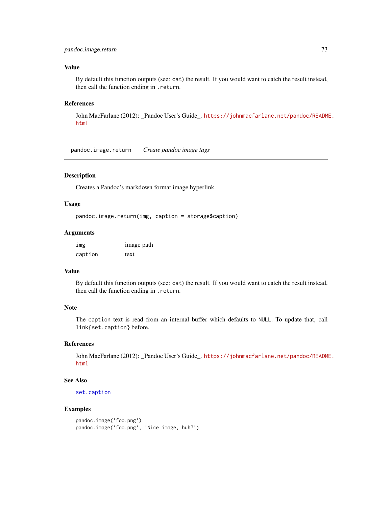# <span id="page-72-0"></span>pandoc.image.return 73

# Value

By default this function outputs (see: cat) the result. If you would want to catch the result instead, then call the function ending in .return.

## References

John MacFarlane (2012): \_Pandoc User's Guide\_. [https://johnmacfarlane.net/pandoc/README](https://johnmacfarlane.net/pandoc/README.html). [html](https://johnmacfarlane.net/pandoc/README.html)

pandoc.image.return *Create pandoc image tags*

## Description

Creates a Pandoc's markdown format image hyperlink.

## Usage

```
pandoc.image.return(img, caption = storage$caption)
```
## Arguments

| img     | image path |
|---------|------------|
| caption | text       |

# Value

By default this function outputs (see: cat) the result. If you would want to catch the result instead, then call the function ending in .return.

#### Note

The caption text is read from an internal buffer which defaults to NULL. To update that, call link{set.caption} before.

# References

John MacFarlane (2012): \_Pandoc User's Guide\_. [https://johnmacfarlane.net/pandoc/README](https://johnmacfarlane.net/pandoc/README.html). [html](https://johnmacfarlane.net/pandoc/README.html)

## See Also

[set.caption](#page-87-0)

# Examples

```
pandoc.image('foo.png')
pandoc.image('foo.png', 'Nice image, huh?')
```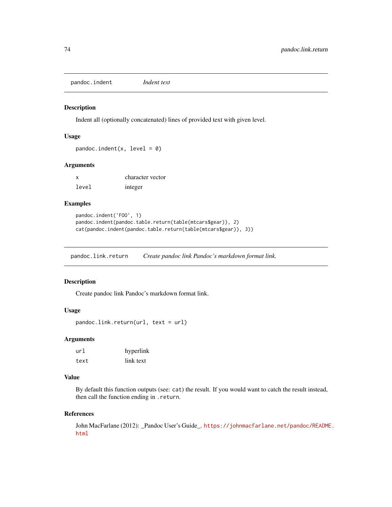<span id="page-73-0"></span>pandoc.indent *Indent text*

#### Description

Indent all (optionally concatenated) lines of provided text with given level.

#### Usage

```
pandoc.indent(x, level = \theta)
```
## Arguments

| X     | character vector |
|-------|------------------|
| level | integer          |

## Examples

```
pandoc.indent('FOO', 1)
pandoc.indent(pandoc.table.return(table(mtcars$gear)), 2)
cat(pandoc.indent(pandoc.table.return(table(mtcars$gear)), 3))
```
pandoc.link.return *Create pandoc link Pandoc's markdown format link.*

# Description

Create pandoc link Pandoc's markdown format link.

## Usage

```
pandoc.link.return(url, text = url)
```
## Arguments

| ur]  | hyperlink |  |  |  |
|------|-----------|--|--|--|
| text | link text |  |  |  |

# Value

By default this function outputs (see: cat) the result. If you would want to catch the result instead, then call the function ending in .return.

#### References

John MacFarlane (2012): \_Pandoc User's Guide\_. [https://johnmacfarlane.net/pandoc/README](https://johnmacfarlane.net/pandoc/README.html). [html](https://johnmacfarlane.net/pandoc/README.html)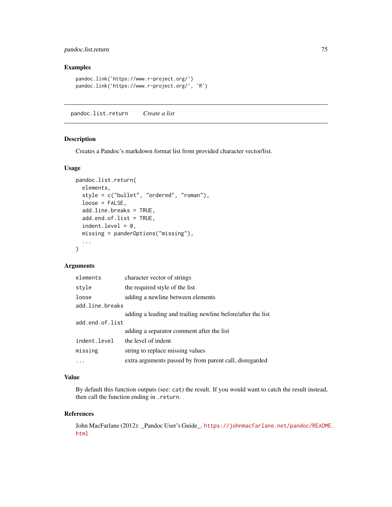# <span id="page-74-0"></span>pandoc.list.return 75

# Examples

```
pandoc.link('https://www.r-project.org/')
pandoc.link('https://www.r-project.org/', 'R')
```
pandoc.list.return *Create a list*

## Description

Creates a Pandoc's markdown format list from provided character vector/list.

#### Usage

```
pandoc.list.return(
  elements,
  style = c("bullet", "ordered", "roman"),
  loose = FALSE,
  add.line.breaks = TRUE,
  add.end.of.list = TRUE,
  indent.level = 0,
 missing = panderOptions("missing"),
  ...
)
```
# Arguments

| elements        | character vector of strings                                 |
|-----------------|-------------------------------------------------------------|
| style           | the required style of the list                              |
| loose           | adding a newline between elements                           |
| add.line.breaks |                                                             |
|                 | adding a leading and trailing newline before/after the list |
| add.end.of.list |                                                             |
|                 | adding a separator comment after the list                   |
| indent.level    | the level of indent                                         |
| missing         | string to replace missing values                            |
| .               | extra arguments passed by from parent call, disregarded     |

## Value

By default this function outputs (see: cat) the result. If you would want to catch the result instead, then call the function ending in .return.

#### References

John MacFarlane (2012): \_Pandoc User's Guide\_. [https://johnmacfarlane.net/pandoc/README](https://johnmacfarlane.net/pandoc/README.html). [html](https://johnmacfarlane.net/pandoc/README.html)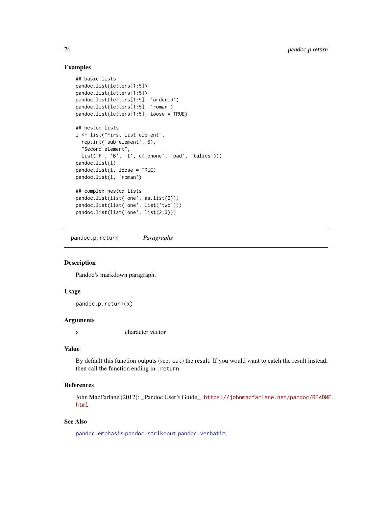## Examples

```
## basic lists
pandoc.list(letters[1:5])
pandoc.list(letters[1:5])
pandoc.list(letters[1:5], 'ordered')
pandoc.list(letters[1:5], 'roman')
pandoc.list(letters[1:5], loose = TRUE)
## nested lists
l <- list("First list element",
  rep.int('sub element', 5),
  "Second element",
  list('F', 'B', 'I', c('phone', 'pad', 'talics')))
pandoc.list(l)
pandoc.list(l, loose = TRUE)
pandoc.list(l, 'roman')
## complex nested lists
pandoc.list(list('one', as.list(2)))
pandoc.list(list('one', list('two')))
pandoc.list(list('one', list(2:3)))
```
pandoc.p.return *Paragraphs*

## Description

Pandoc's markdown paragraph.

## Usage

pandoc.p.return(x)

# Arguments

x character vector

## Value

By default this function outputs (see: cat) the result. If you would want to catch the result instead, then call the function ending in .return.

## References

John MacFarlane (2012): \_Pandoc User's Guide\_. [https://johnmacfarlane.net/pandoc/README](https://johnmacfarlane.net/pandoc/README.html). [html](https://johnmacfarlane.net/pandoc/README.html)

# See Also

[pandoc.emphasis](#page-68-0) [pandoc.strikeout](#page-76-0) [pandoc.verbatim](#page-83-0)

<span id="page-75-0"></span>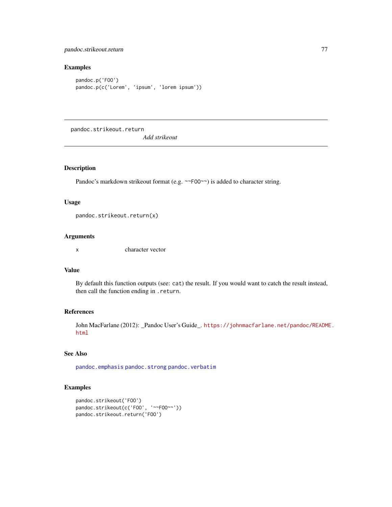# <span id="page-76-1"></span>pandoc.strikeout.return 77

# Examples

```
pandoc.p('FOO')
pandoc.p(c('Lorem', 'ipsum', 'lorem ipsum'))
```
pandoc.strikeout.return

*Add strikeout*

# <span id="page-76-0"></span>Description

Pandoc's markdown strikeout format (e.g. ~~F00~~) is added to character string.

#### Usage

pandoc.strikeout.return(x)

# Arguments

x character vector

## Value

By default this function outputs (see: cat) the result. If you would want to catch the result instead, then call the function ending in .return.

# References

John MacFarlane (2012): \_Pandoc User's Guide\_. [https://johnmacfarlane.net/pandoc/README](https://johnmacfarlane.net/pandoc/README.html). [html](https://johnmacfarlane.net/pandoc/README.html)

# See Also

[pandoc.emphasis](#page-68-0) [pandoc.strong](#page-77-0) [pandoc.verbatim](#page-83-0)

## Examples

```
pandoc.strikeout('FOO')
pandoc.strikeout(c('FOO', '~~FOO~~'))
pandoc.strikeout.return('FOO')
```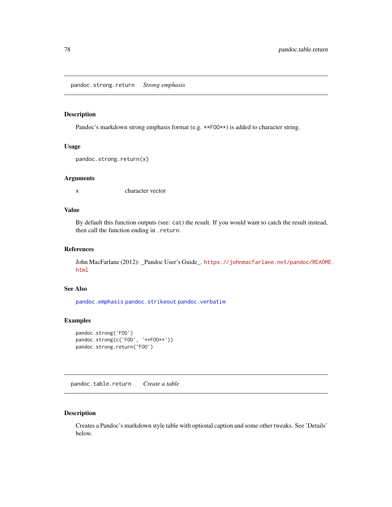<span id="page-77-1"></span>pandoc.strong.return *Strong emphasis*

#### <span id="page-77-0"></span>Description

Pandoc's markdown strong emphasis format (e.g. \*\*F00\*\*) is added to character string.

## Usage

```
pandoc.strong.return(x)
```
# Arguments

x character vector

# Value

By default this function outputs (see: cat) the result. If you would want to catch the result instead, then call the function ending in .return.

## References

John MacFarlane (2012): \_Pandoc User's Guide\_. [https://johnmacfarlane.net/pandoc/README](https://johnmacfarlane.net/pandoc/README.html). [html](https://johnmacfarlane.net/pandoc/README.html)

# See Also

[pandoc.emphasis](#page-68-0) [pandoc.strikeout](#page-76-0) [pandoc.verbatim](#page-83-0)

# Examples

```
pandoc.strong('FOO')
pandoc.strong(c('FOO', '**FOO**'))
pandoc.strong.return('FOO')
```
pandoc.table.return *Create a table*

## Description

Creates a Pandoc's markdown style table with optional caption and some other tweaks. See 'Details' below.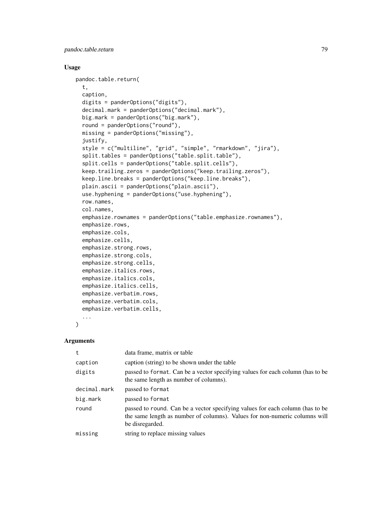pandoc.table.return 79

# Usage

```
pandoc.table.return(
  t,
  caption,
  digits = panderOptions("digits"),
  decimal.mark = panderOptions("decimal.mark"),
 big.mark = panderOptions("big.mark"),
  round = panderOptions("round"),
 missing = panderOptions("missing"),
  justify,
  style = c("multiline", "grid", "simple", "rmarkdown", "jira"),
  split.tables = panderOptions("table.split.table"),
  split.cells = panderOptions("table.split.cells"),
  keep.trailing.zeros = panderOptions("keep.trailing.zeros"),
  keep.line.breaks = panderOptions("keep.line.breaks"),
  plain.ascii = panderOptions("plain.ascii"),
  use.hyphening = panderOptions("use.hyphening"),
  row.names,
  col.names,
  emphasize.rownames = panderOptions("table.emphasize.rownames"),
  emphasize.rows,
  emphasize.cols,
  emphasize.cells,
  emphasize.strong.rows,
  emphasize.strong.cols,
  emphasize.strong.cells,
  emphasize.italics.rows,
  emphasize.italics.cols,
  emphasize.italics.cells,
  emphasize.verbatim.rows,
  emphasize.verbatim.cols,
  emphasize.verbatim.cells,
  ...
```
 $\mathcal{L}$ 

#### Arguments

|              | data frame, matrix or table                                                                                                                                                    |
|--------------|--------------------------------------------------------------------------------------------------------------------------------------------------------------------------------|
| caption      | caption (string) to be shown under the table                                                                                                                                   |
| digits       | passed to format. Can be a vector specifying values for each column (has to be<br>the same length as number of columns).                                                       |
| decimal.mark | passed to format                                                                                                                                                               |
| big.mark     | passed to format                                                                                                                                                               |
| round        | passed to round. Can be a vector specifying values for each column (has to be<br>the same length as number of columns). Values for non-numeric columns will<br>be disregarded. |
| missing      | string to replace missing values                                                                                                                                               |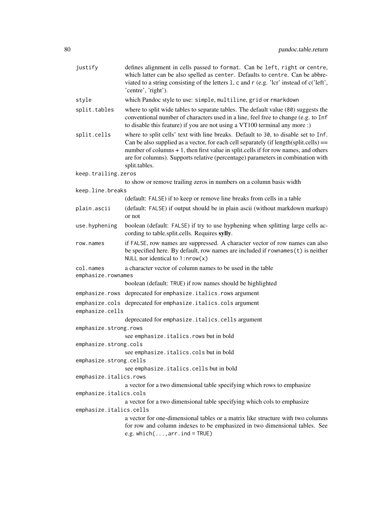| justify                         | defines alignment in cells passed to format. Can be left, right or centre,<br>which latter can be also spelled as center. Defaults to centre. Can be abbre-<br>viated to a string consisting of the letters 1, c and r (e.g. 'lcr' instead of c('left',<br>'centre', 'right').                                                                                           |
|---------------------------------|--------------------------------------------------------------------------------------------------------------------------------------------------------------------------------------------------------------------------------------------------------------------------------------------------------------------------------------------------------------------------|
| style                           | which Pandoc style to use: simple, multiline, grid or rmarkdown                                                                                                                                                                                                                                                                                                          |
| split.tables                    | where to split wide tables to separate tables. The default value (80) suggests the<br>conventional number of characters used in a line, feel free to change (e.g. to Inf<br>to disable this feature) if you are not using a VT100 terminal any more :)                                                                                                                   |
| split.cells                     | where to split cells' text with line breaks. Default to 30, to disable set to Inf.<br>Can be also supplied as a vector, for each cell separately (if length(split.cells) $==$<br>number of columns + 1, then first value in split.cells if for row names, and others<br>are for columns). Supports relative (percentage) parameters in combination with<br>split.tables. |
| keep.trailing.zeros             |                                                                                                                                                                                                                                                                                                                                                                          |
|                                 | to show or remove trailing zeros in numbers on a column basis width                                                                                                                                                                                                                                                                                                      |
| keep.line.breaks                |                                                                                                                                                                                                                                                                                                                                                                          |
|                                 | (default: FALSE) if to keep or remove line breaks from cells in a table                                                                                                                                                                                                                                                                                                  |
| plain.ascii                     | (default: FALSE) if output should be in plain ascii (without markdown markup)<br>or not                                                                                                                                                                                                                                                                                  |
| use.hyphening                   | boolean (default: FALSE) if try to use hyphening when splitting large cells ac-<br>cording to table.split.cells. Requires sylly.                                                                                                                                                                                                                                         |
| row.names                       | if FALSE, row names are suppressed. A character vector of row names can also<br>be specified here. By default, row names are included if rownames(t) is neither<br>NULL nor identical to $1: nrow(x)$                                                                                                                                                                    |
| col.names<br>emphasize.rownames | a character vector of column names to be used in the table                                                                                                                                                                                                                                                                                                               |
|                                 | boolean (default: TRUE) if row names should be highlighted                                                                                                                                                                                                                                                                                                               |
|                                 | emphasize.rows deprecated for emphasize.italics.rows argument                                                                                                                                                                                                                                                                                                            |
| emphasize.cells                 | emphasize.cols deprecated for emphasize.italics.cols argument                                                                                                                                                                                                                                                                                                            |
|                                 | deprecated for emphasize.italics.cells argument                                                                                                                                                                                                                                                                                                                          |
| emphasize.strong.rows           |                                                                                                                                                                                                                                                                                                                                                                          |
|                                 | see emphasize.italics.rows but in bold                                                                                                                                                                                                                                                                                                                                   |
| emphasize.strong.cols           |                                                                                                                                                                                                                                                                                                                                                                          |
|                                 | see emphasize.italics.cols but in bold                                                                                                                                                                                                                                                                                                                                   |
| emphasize.strong.cells          |                                                                                                                                                                                                                                                                                                                                                                          |
|                                 | see emphasize.italics.cells but in bold                                                                                                                                                                                                                                                                                                                                  |
| emphasize.italics.rows          |                                                                                                                                                                                                                                                                                                                                                                          |
|                                 | a vector for a two dimensional table specifying which rows to emphasize                                                                                                                                                                                                                                                                                                  |
| emphasize.italics.cols          | a vector for a two dimensional table specifying which cols to emphasize                                                                                                                                                                                                                                                                                                  |
| emphasize.italics.cells         |                                                                                                                                                                                                                                                                                                                                                                          |
|                                 | a vector for one-dimensional tables or a matrix like structure with two columns<br>for row and column indexes to be emphasized in two dimensional tables. See<br>e.g. which $(,arr.ind = TRUE)$                                                                                                                                                                          |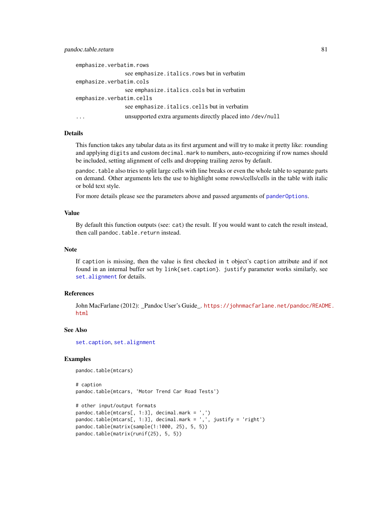## <span id="page-80-0"></span>pandoc.table.return 81

```
emphasize.verbatim.rows
                see emphasize.italics.rows but in verbatim
emphasize.verbatim.cols
                see emphasize.italics.cols but in verbatim
emphasize.verbatim.cells
                see emphasize.italics.cells but in verbatim
... unsupported extra arguments directly placed into /dev/null
```
#### Details

This function takes any tabular data as its first argument and will try to make it pretty like: rounding and applying digits and custom decimal.mark to numbers, auto-recognizing if row names should be included, setting alignment of cells and dropping trailing zeros by default.

pandoc.table also tries to split large cells with line breaks or even the whole table to separate parts on demand. Other arguments lets the use to highlight some rows/cells/cells in the table with italic or bold text style.

For more details please see the parameters above and passed arguments of [panderOptions](#page-59-0).

## Value

By default this function outputs (see: cat) the result. If you would want to catch the result instead, then call pandoc.table.return instead.

## Note

If caption is missing, then the value is first checked in t object's caption attribute and if not found in an internal buffer set by link{set.caption}. justify parameter works similarly, see [set.alignment](#page-87-1) for details.

#### References

John MacFarlane (2012): \_Pandoc User's Guide\_. [https://johnmacfarlane.net/pandoc/README](https://johnmacfarlane.net/pandoc/README.html). [html](https://johnmacfarlane.net/pandoc/README.html)

#### See Also

[set.caption](#page-87-0), [set.alignment](#page-87-1)

#### Examples

```
pandoc.table(mtcars)
```

```
# caption
pandoc.table(mtcars, 'Motor Trend Car Road Tests')
# other input/output formats
pandoc.table(mtcars[, 1:3], decimal.mark = ',')
pandoc.table(mtcars[, 1:3], decimal.mark = ',', justify = 'right')
pandoc.table(matrix(sample(1:1000, 25), 5, 5))
pandoc.table(matrix(runif(25), 5, 5))
```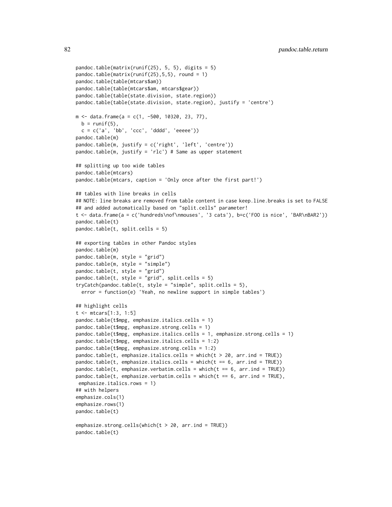```
pandoc.table(matrix(runif(25), 5, 5), digits = 5)
pandoc.table(matrix(runif(25),5,5), round = 1)
pandoc.table(table(mtcars$am))
pandoc.table(table(mtcars$am, mtcars$gear))
pandoc.table(table(state.division, state.region))
pandoc.table(table(state.division, state.region), justify = 'centre')
m <- data.frame(a = c(1, -500, 10320, 23, 77),
 b = runif(5),
 c = c('a', 'bb', 'ccc', 'dddd', 'eeeee'))pandoc.table(m)
pandoc.table(m, justify = c('right', 'left', 'centre'))
pandoc.table(m, justify = 'rlc') # Same as upper statement
## splitting up too wide tables
pandoc.table(mtcars)
pandoc.table(mtcars, caption = 'Only once after the first part!')
## tables with line breaks in cells
## NOTE: line breaks are removed from table content in case keep.line.breaks is set to FALSE
## and added automatically based on "split.cells" parameter!
t <- data.frame(a = c('hundreds\nof\nmouses', '3 cats'), b=c('FOO is nice', 'BAR\nBAR2'))
pandoc.table(t)
pandoc.table(t, split.cells = 5)
## exporting tables in other Pandoc styles
pandoc.table(m)
pandoc.table(m, style = "grid")
pandoc.table(m, style = "simple")
pandoc.table(t, style = "grid")
pandoc.table(t, style = "grid", split.cells = 5)
tryCatch(pandoc.table(t, style = "simple", split.cells = 5),
 error = function(e) 'Yeah, no newline support in simple tables')
## highlight cells
t <- mtcars[1:3, 1:5]
pandoc.table(t$mpg, emphasize.italics.cells = 1)
pandoc.table(t$mpg, emphasize.strong.cells = 1)
pandoc.table(t$mpg, emphasize.italics.cells = 1, emphasize.strong.cells = 1)
pandoc.table(t$mpg, emphasize.italics.cells = 1:2)
pandoc.table(t$mpg, emphasize.strong.cells = 1:2)
pandoc.table(t, emphasize.italics.cells = which(t > 20, arr.ind = TRUE))
pandoc.table(t, emphasize.italics.cells = which(t == 6, arr.ind = TRUE))
pandoc.table(t, emphasize.verbatim.cells = which(t == 6, arr.ind = TRUE))
pandoc.table(t, emphasize.verbatim.cells = which(t = 6, arr.ind = TRUE),
emphasize.italics.rows = 1)
## with helpers
emphasize.cols(1)
emphasize.rows(1)
pandoc.table(t)
emphasize.strong.cells(which(t > 20, arr.ind = TRUE))
pandoc.table(t)
```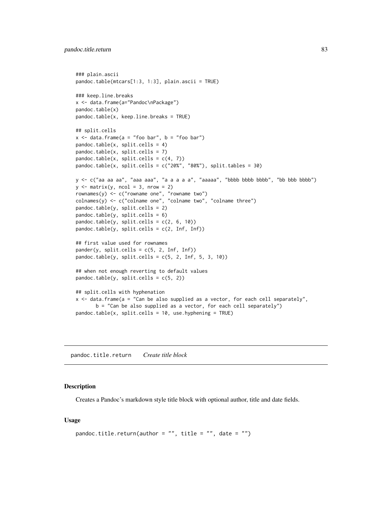```
### plain.ascii
pandoc.table(mtcars[1:3, 1:3], plain.ascii = TRUE)
### keep.line.breaks
x <- data.frame(a="Pandoc\nPackage")
pandoc.table(x)
pandoc.table(x, keep.line.breaks = TRUE)
## split.cells
x \le - data.frame(a = "foo bar", b = "foo bar")
pandoc.table(x, split.cells = 4)
pandoc.table(x, split.cells = 7)
pandoc.table(x, split.cells = c(4, 7))
pandoc.table(x, split.cells = c("20%", "80%"), split.tables = 30)
y <- c("aa aa aa", "aaa aaa", "a a a a a", "aaaaa", "bbbb bbbb bbbb", "bb bbb bbbb")
y \le - matrix(y, ncol = 3, nrow = 2)
rownames(y) <- c("rowname one", "rowname two")
\text{colnames}(y) \leq c("column one", "column two", "column two"pandoc.table(y, split.cells = 2)
pandoc.table(y, split.cells = 6)
pandoc.table(y, split.cells = c(2, 6, 10))
pandoc.table(y, split.cells = c(2, Inf, Inf))
## first value used for rownames
pander(y, split, cells = c(5, 2, Inf, Inf))pandoc.table(y, split.cells = c(5, 2, Inf, 5, 3, 10))
## when not enough reverting to default values
pandoc.table(y, split.cells = c(5, 2))
## split.cells with hyphenation
x <- data.frame(a = "Can be also supplied as a vector, for each cell separately",
       b = "Can be also supplied as a vector, for each cell separately")
pandoc.table(x, split.cells = 10, use.hyphening = TRUE)
```
pandoc.title.return *Create title block*

#### Description

Creates a Pandoc's markdown style title block with optional author, title and date fields.

#### Usage

```
pandoc.title.return(author = "", title = "", date = "")
```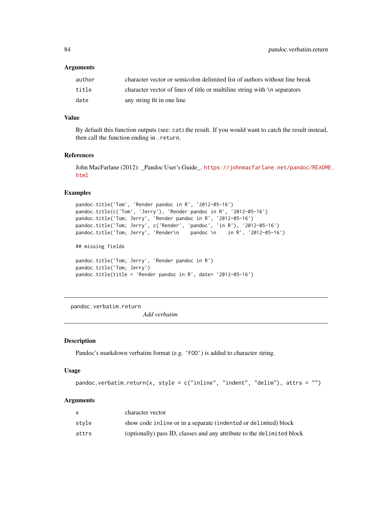## <span id="page-83-1"></span>**Arguments**

| author | character vector or semicolon delimited list of authors without line break |
|--------|----------------------------------------------------------------------------|
| title  | character vector of lines of title or multiline string with \n separators  |
| date   | any string fit in one line                                                 |

## Value

By default this function outputs (see: cat) the result. If you would want to catch the result instead, then call the function ending in .return.

#### References

John MacFarlane (2012): \_Pandoc User's Guide\_. [https://johnmacfarlane.net/pandoc/README](https://johnmacfarlane.net/pandoc/README.html). [html](https://johnmacfarlane.net/pandoc/README.html)

#### Examples

```
pandoc.title('Tom', 'Render pandoc in R', '2012-05-16')
pandoc.title(c('Tom', 'Jerry'), 'Render pandoc in R', '2012-05-16')
pandoc.title('Tom; Jerry', 'Render pandoc in R', '2012-05-16')
pandoc.title('Tom; Jerry', c('Render', 'pandoc', 'in R'), '2012-05-16')
pandoc.title('Tom; Jerry', 'Render\n pandoc \n in R', '2012-05-16')
## missing fields
pandoc.title('Tom; Jerry', 'Render pandoc in R')
pandoc.title('Tom; Jerry')
pandoc.title(title = 'Render pandoc in R', date= '2012-05-16')
```
pandoc.verbatim.return

*Add verbatim*

#### <span id="page-83-0"></span>Description

Pandoc's markdown verbatim format (e.g. 'F00') is added to character string.

## Usage

```
pandoc.verbatim.return(x, style = c("inline", "indent", "delim"), attrs = "")
```
#### Arguments

|       | character vector                                                       |
|-------|------------------------------------------------------------------------|
| stvle | show code inline or in a separate (indented or delimited) block        |
| attrs | (optionally) pass ID, classes and any attribute to the delimited block |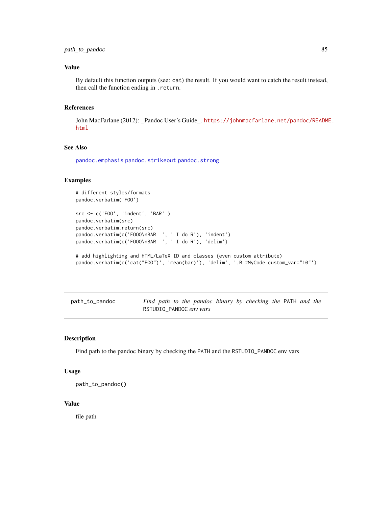# <span id="page-84-0"></span>path\_to\_pandoc 85

# Value

By default this function outputs (see: cat) the result. If you would want to catch the result instead, then call the function ending in .return.

# References

John MacFarlane (2012): \_Pandoc User's Guide\_. [https://johnmacfarlane.net/pandoc/README](https://johnmacfarlane.net/pandoc/README.html). [html](https://johnmacfarlane.net/pandoc/README.html)

# See Also

[pandoc.emphasis](#page-68-0) [pandoc.strikeout](#page-76-0) [pandoc.strong](#page-77-0)

# Examples

```
# different styles/formats
pandoc.verbatim('FOO')
src <- c('FOO', 'indent', 'BAR' )
pandoc.verbatim(src)
pandoc.verbatim.return(src)
pandoc.verbatim(c('FOOO\nBAR ', ' I do R'), 'indent')
pandoc.verbatim(c('FOOO\nBAR ', ' I do R'), 'delim')
# add highlighting and HTML/LaTeX ID and classes (even custom attribute)
pandoc.verbatim(c('cat("FOO")', 'mean(bar)'), 'delim', '.R #MyCode custom_var="10"')
```

| path_to_pandoc |  |  |                         |  | Find path to the pandoc binary by checking the PATH and the |  |  |
|----------------|--|--|-------------------------|--|-------------------------------------------------------------|--|--|
|                |  |  | RSTUDIO PANDOC env vars |  |                                                             |  |  |

## Description

Find path to the pandoc binary by checking the PATH and the RSTUDIO\_PANDOC env vars

#### Usage

```
path_to_pandoc()
```
#### Value

file path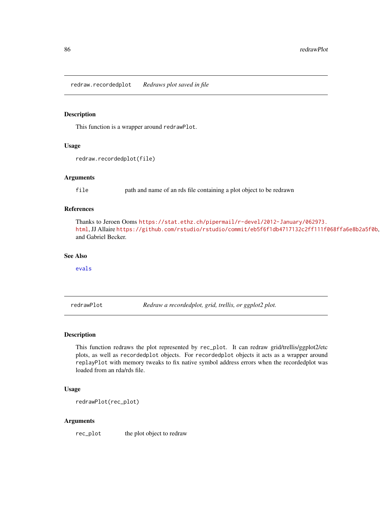<span id="page-85-1"></span><span id="page-85-0"></span>redraw.recordedplot *Redraws plot saved in file*

## Description

This function is a wrapper around redrawPlot.

#### Usage

```
redraw.recordedplot(file)
```
#### Arguments

file path and name of an rds file containing a plot object to be redrawn

## References

```
Thanks to Jeroen Ooms https://stat.ethz.ch/pipermail/r-devel/2012-January/062973.
html, JJ Allaire https://github.com/rstudio/rstudio/commit/eb5f6f1db4717132c2ff111f068ffa6e8b2a5f0b,
and Gabriel Becker.
```
## See Also

[evals](#page-8-0)

redrawPlot *Redraw a recordedplot, grid, trellis, or ggplot2 plot.*

# Description

This function redraws the plot represented by rec\_plot. It can redraw grid/trellis/ggplot2/etc plots, as well as recordedplot objects. For recordedplot objects it acts as a wrapper around replayPlot with memory tweaks to fix native symbol address errors when the recordedplot was loaded from an rda/rds file.

## Usage

redrawPlot(rec\_plot)

#### Arguments

rec\_plot the plot object to redraw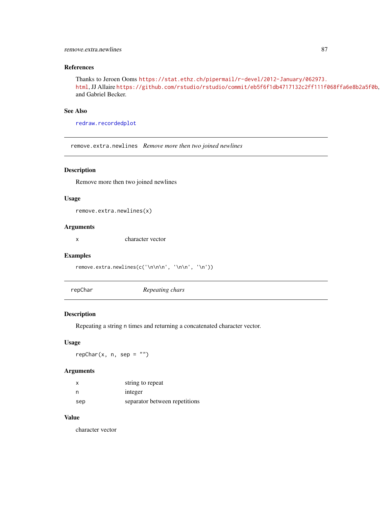## <span id="page-86-0"></span>remove.extra.newlines 87

## References

```
Thanks to Jeroen Ooms https://stat.ethz.ch/pipermail/r-devel/2012-January/062973.
html, JJ Allaire https://github.com/rstudio/rstudio/commit/eb5f6f1db4717132c2ff111f068ffa6e8b2a5f0b,
and Gabriel Becker.
```
## See Also

[redraw.recordedplot](#page-85-0)

remove.extra.newlines *Remove more then two joined newlines*

## Description

Remove more then two joined newlines

## Usage

remove.extra.newlines(x)

# Arguments

x character vector

## Examples

```
remove.extra.newlines(c('\n\n\n', '\n\n', '\n'))
```
repChar *Repeating chars*

# Description

Repeating a string n times and returning a concatenated character vector.

# Usage

 $repChar(x, n, sep = "")$ 

## Arguments

| x   | string to repeat              |
|-----|-------------------------------|
| n   | integer                       |
| sep | separator between repetitions |

## Value

character vector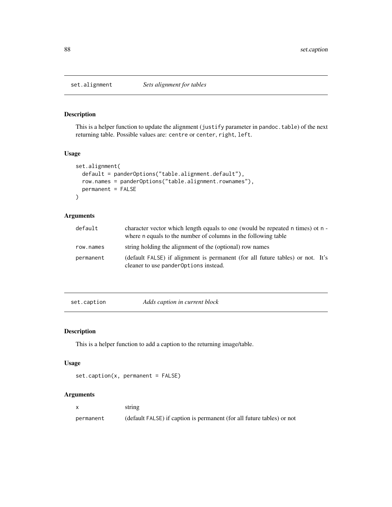<span id="page-87-2"></span><span id="page-87-1"></span>

## Description

This is a helper function to update the alignment (justify parameter in pandoc.table) of the next returning table. Possible values are: centre or center, right, left.

#### Usage

```
set.alignment(
  default = panderOptions("table.alignment.default"),
  row.names = panderOptions("table.alignment.rownames"),
  permanent = FALSE
\mathcal{L}
```
# Arguments

| default   | character vector which length equals to one (would be repeated n times) ot n -<br>where n equals to the number of columns in the following table |
|-----------|--------------------------------------------------------------------------------------------------------------------------------------------------|
| row.names | string holding the alignment of the (optional) row names                                                                                         |
| permanent | (default FALSE) if alignment is permanent (for all future tables) or not. It's<br>cleaner to use pander Options instead.                         |

<span id="page-87-0"></span>set.caption *Adds caption in current block*

## Description

This is a helper function to add a caption to the returning image/table.

## Usage

```
set.caption(x, permanent = FALSE)
```
# Arguments

|           | string                                                                 |
|-----------|------------------------------------------------------------------------|
| permanent | (default FALSE) if caption is permanent (for all future tables) or not |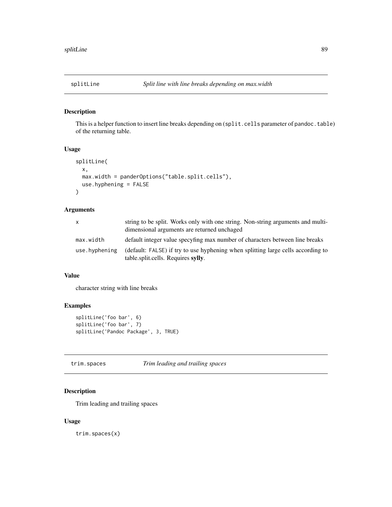<span id="page-88-0"></span>

# Description

This is a helper function to insert line breaks depending on (split.cells parameter of pandoc.table) of the returning table.

## Usage

```
splitLine(
  x,
 max.width = panderOptions("table.split.cells"),
 use.hyphening = FALSE
\mathcal{L}
```
# Arguments

| X             | string to be split. Works only with one string. Non-string arguments and multi-<br>dimensional arguments are returned unchaged |
|---------------|--------------------------------------------------------------------------------------------------------------------------------|
| max.width     | default integer value specyfing max number of characters between line breaks                                                   |
| use.hyphening | (default: FALSE) if try to use hyphening when splitting large cells according to<br>table.split.cells. Requires sylly.         |

## Value

character string with line breaks

# Examples

```
splitLine('foo bar', 6)
splitLine('foo bar', 7)
splitLine('Pandoc Package', 3, TRUE)
```
trim.spaces *Trim leading and trailing spaces*

# Description

Trim leading and trailing spaces

# Usage

trim.spaces(x)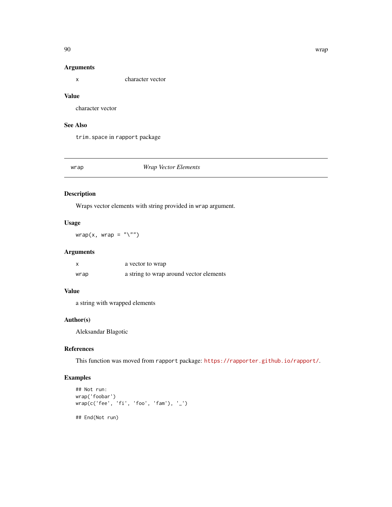## Arguments

x character vector

## Value

character vector

# See Also

trim.space in rapport package

# wrap *Wrap Vector Elements*

# Description

Wraps vector elements with string provided in wrap argument.

# Usage

 $wrap(x, wrap = "\\"')$ 

# Arguments

|      | a vector to wrap                        |
|------|-----------------------------------------|
| wrap | a string to wrap around vector elements |

## Value

a string with wrapped elements

# Author(s)

Aleksandar Blagotic

# References

This function was moved from rapport package: <https://rapporter.github.io/rapport/>.

# Examples

```
## Not run:
wrap('foobar')
wrap(c('fee', 'fi', 'foo', 'fam'), '_')
## End(Not run)
```
<span id="page-89-0"></span>90 wrap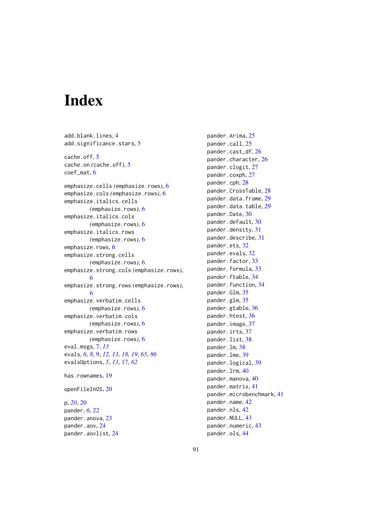# **Index**

add.blank.lines, [4](#page-3-0) add.significance.stars, [5](#page-4-0) cache.off, [5](#page-4-0) cache.on *(*cache.off*)*, [5](#page-4-0) coef\_mat, [6](#page-5-0) emphasize.cells *(*emphasize.rows*)*, [6](#page-5-0) emphasize.cols *(*emphasize.rows*)*, [6](#page-5-0) emphasize.italics.cells *(*emphasize.rows*)*, [6](#page-5-0) emphasize.italics.cols *(*emphasize.rows*)*, [6](#page-5-0) emphasize.italics.rows *(*emphasize.rows*)*, [6](#page-5-0) emphasize.rows, [6](#page-5-0) emphasize.strong.cells *(*emphasize.rows*)*, [6](#page-5-0) emphasize.strong.cols *(*emphasize.rows*)*, [6](#page-5-0) emphasize.strong.rows *(*emphasize.rows*)*, [6](#page-5-0) emphasize.verbatim.cells *(*emphasize.rows*)*, [6](#page-5-0) emphasize.verbatim.cols *(*emphasize.rows*)*, [6](#page-5-0) emphasize.verbatim.rows *(*emphasize.rows*)*, [6](#page-5-0) eval.msgs, [7,](#page-6-0) *[13](#page-12-0)* evals, *[6](#page-5-0)*, *[8](#page-7-0)*, [9,](#page-8-1) *[12,](#page-11-0) [13](#page-12-0)*, *[18,](#page-17-0) [19](#page-18-0)*, *[65](#page-64-0)*, *[86](#page-85-1)* evalsOptions, *[5](#page-4-0)*, *[13](#page-12-0)*, [17,](#page-16-0) *[62](#page-61-0)* has.rownames, [19](#page-18-0) openFileInOS, [20](#page-19-0) p, *[20](#page-19-0)*, [20](#page-19-0) pander, *[6](#page-5-0)*, [22](#page-21-0)

pander.anova, [23](#page-22-0) pander.aov, [24](#page-23-0) pander.aovlist, [24](#page-23-0) pander.Arima, [25](#page-24-0) pander.call, [25](#page-24-0) pander.cast\_df, [26](#page-25-0) pander.character, [26](#page-25-0) pander.clogit, [27](#page-26-0) pander.coxph, [27](#page-26-0) pander.cph, [28](#page-27-0) pander.CrossTable, [28](#page-27-0) pander.data.frame, [29](#page-28-0) pander.data.table, [29](#page-28-0) pander.Date, [30](#page-29-0) pander.default, [30](#page-29-0) pander.density, [31](#page-30-0) pander.describe, [31](#page-30-0) pander.ets, [32](#page-31-0) pander.evals, [32](#page-31-0) pander.factor, [33](#page-32-0) pander.formula, [33](#page-32-0) pander.ftable, [34](#page-33-0) pander.function, [34](#page-33-0) pander.Glm, [35](#page-34-0) pander.glm, [35](#page-34-0) pander.gtable, [36](#page-35-0) pander.htest, [36](#page-35-0) pander.image, [37](#page-36-0) pander.irts, [37](#page-36-0) pander.list, [38](#page-37-0) pander.lm, [38](#page-37-0) pander.lme, [39](#page-38-0) pander.logical, [39](#page-38-0) pander.lrm, [40](#page-39-0) pander.manova, [40](#page-39-0) pander.matrix, [41](#page-40-0) pander.microbenchmark, [41](#page-40-0) pander.name, [42](#page-41-0) pander.nls, [42](#page-41-0) pander.NULL, [43](#page-42-0) pander.numeric, [43](#page-42-0) pander.ols, [44](#page-43-0)